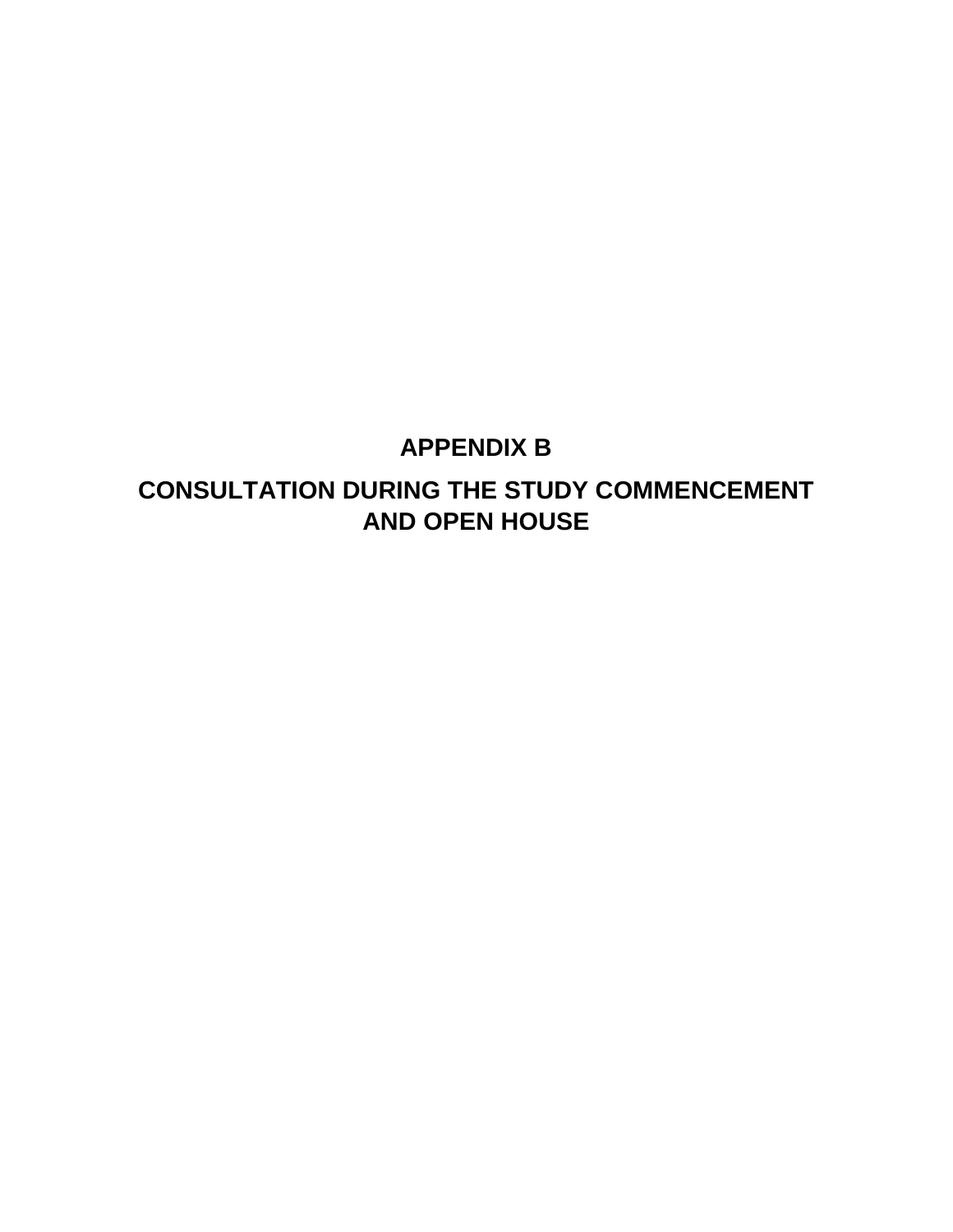# **APPENDIX B**

# **CONSULTATION DURING THE STUDY COMMENCEMENT AND OPEN HOUSE**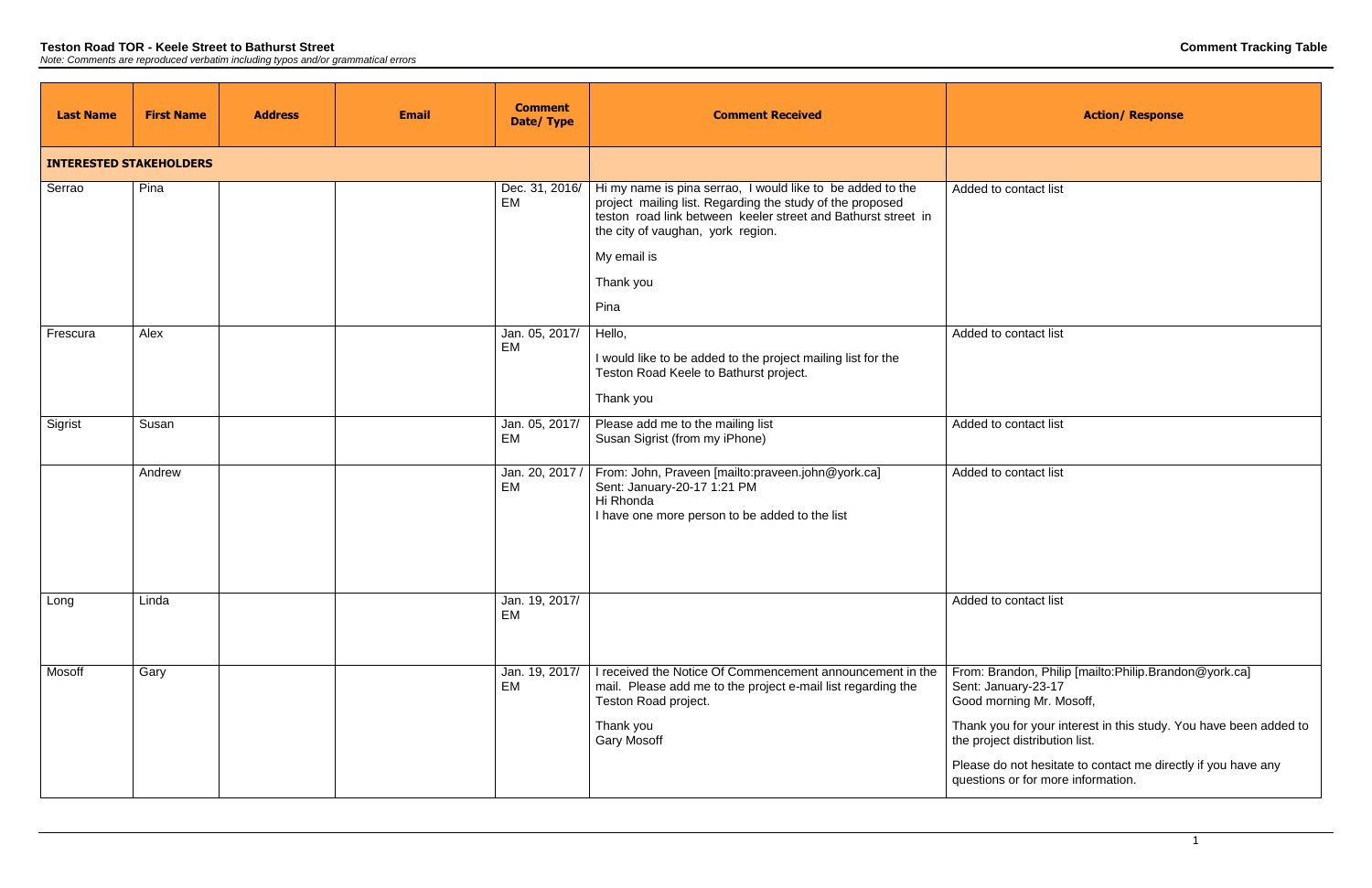*Note: Comments are reproduced verbatim including typos and/or grammatical errors*

| <b>Last Name</b> | <b>First Name</b>              | <b>Address</b> | <b>Email</b> | <b>Comment</b><br>Date/ Type | <b>Comment Received</b>                                                                                                                                                                                                                        | <b>Action/ Response</b>                                                                                                                                                                                                       |
|------------------|--------------------------------|----------------|--------------|------------------------------|------------------------------------------------------------------------------------------------------------------------------------------------------------------------------------------------------------------------------------------------|-------------------------------------------------------------------------------------------------------------------------------------------------------------------------------------------------------------------------------|
|                  | <b>INTERESTED STAKEHOLDERS</b> |                |              |                              |                                                                                                                                                                                                                                                |                                                                                                                                                                                                                               |
| Serrao           | Pina                           |                |              | EM                           | Dec. 31, 2016/   Hi my name is pina serrao, I would like to be added to the<br>project mailing list. Regarding the study of the proposed<br>teston road link between keeler street and Bathurst street in<br>the city of vaughan, york region. | Added to contact list                                                                                                                                                                                                         |
|                  |                                |                |              |                              | My email is                                                                                                                                                                                                                                    |                                                                                                                                                                                                                               |
|                  |                                |                |              |                              | Thank you                                                                                                                                                                                                                                      |                                                                                                                                                                                                                               |
|                  |                                |                |              |                              | Pina                                                                                                                                                                                                                                           |                                                                                                                                                                                                                               |
| Frescura         | Alex                           |                |              | Jan. 05, 2017/<br>EM         | Hello,<br>I would like to be added to the project mailing list for the<br>Teston Road Keele to Bathurst project.<br>Thank you                                                                                                                  | Added to contact list                                                                                                                                                                                                         |
| Sigrist          | Susan                          |                |              | Jan. 05, 2017/<br>EM         | Please add me to the mailing list<br>Susan Sigrist (from my iPhone)                                                                                                                                                                            | Added to contact list                                                                                                                                                                                                         |
|                  | Andrew                         |                |              | Jan. 20, 2017 /<br>EM        | From: John, Praveen [mailto:praveen.john@york.ca]<br>Sent: January-20-17 1:21 PM<br>Hi Rhonda<br>I have one more person to be added to the list                                                                                                | Added to contact list                                                                                                                                                                                                         |
| Long             | Linda                          |                |              | Jan. 19, 2017/<br>EM         |                                                                                                                                                                                                                                                | Added to contact list                                                                                                                                                                                                         |
| Mosoff           | Gary                           |                |              | Jan. 19, 2017/<br>EM         | I received the Notice Of Commencement announcement in the<br>mail. Please add me to the project e-mail list regarding the<br>Teston Road project.<br>Thank you<br><b>Gary Mosoff</b>                                                           | From: Brandon, Philip [mailto:Philip.Brand<br>Sent: January-23-17<br>Good morning Mr. Mosoff,<br>Thank you for your interest in this study. Y<br>the project distribution list.<br>Please do not hesitate to contact me direc |
|                  |                                |                |              |                              |                                                                                                                                                                                                                                                | questions or for more information.                                                                                                                                                                                            |

| <b>Action/ Response</b>                                                                                  |
|----------------------------------------------------------------------------------------------------------|
|                                                                                                          |
| Added to contact list                                                                                    |
|                                                                                                          |
| Added to contact list                                                                                    |
| Added to contact list                                                                                    |
| Added to contact list                                                                                    |
| Added to contact list                                                                                    |
| From: Brandon, Philip [mailto:Philip.Brandon@york.ca]<br>Sent: January-23-17<br>Good morning Mr. Mosoff, |
| Thank you for your interest in this study. You have been added to<br>the project distribution list.      |
| Please do not hesitate to contact me directly if you have any<br>questions or for more information.      |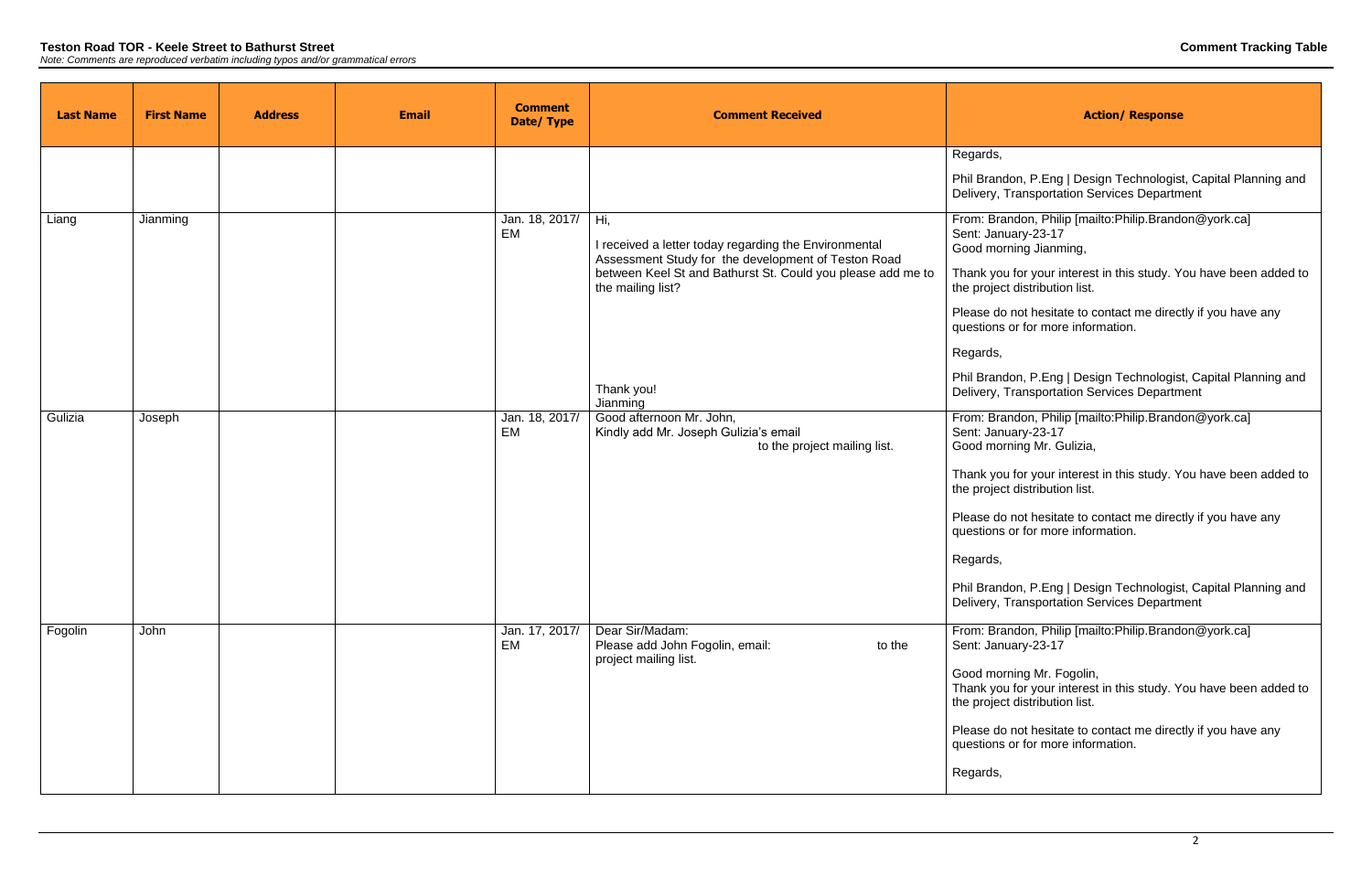*Note: Comments are reproduced verbatim including typos and/or grammatical errors*

| <b>Last Name</b> | <b>First Name</b> | <b>Address</b> | <b>Email</b> | <b>Comment</b><br>Date/ Type | <b>Comment Received</b>                                                                                                                 | <b>Action/ Response</b>                                                                                     |
|------------------|-------------------|----------------|--------------|------------------------------|-----------------------------------------------------------------------------------------------------------------------------------------|-------------------------------------------------------------------------------------------------------------|
|                  |                   |                |              |                              |                                                                                                                                         | Regards,                                                                                                    |
|                  |                   |                |              |                              |                                                                                                                                         | Phil Brandon, P.Eng   Design Technologis<br>Delivery, Transportation Services Departm                       |
| Liang            | Jianming          |                |              | Jan. 18, 2017/<br>EM         | Hi,<br>I received a letter today regarding the Environmental                                                                            | From: Brandon, Philip [mailto:Philip.Brand<br>Sent: January-23-17<br>Good morning Jianming,                 |
|                  |                   |                |              |                              | Assessment Study for the development of Teston Road<br>between Keel St and Bathurst St. Could you please add me to<br>the mailing list? | Thank you for your interest in this study. Y<br>the project distribution list.                              |
|                  |                   |                |              |                              |                                                                                                                                         | Please do not hesitate to contact me direc<br>questions or for more information.                            |
|                  |                   |                |              |                              |                                                                                                                                         | Regards,                                                                                                    |
|                  |                   |                |              |                              | Thank you!<br>Jianming                                                                                                                  | Phil Brandon, P.Eng   Design Technologis<br>Delivery, Transportation Services Departm                       |
| Gulizia          | Joseph            |                |              | Jan. 18, 2017/<br>EM         | Good afternoon Mr. John,<br>Kindly add Mr. Joseph Gulizia's email<br>to the project mailing list.                                       | From: Brandon, Philip [mailto:Philip.Brand<br>Sent: January-23-17<br>Good morning Mr. Gulizia,              |
|                  |                   |                |              |                              |                                                                                                                                         | Thank you for your interest in this study. Y<br>the project distribution list.                              |
|                  |                   |                |              |                              |                                                                                                                                         | Please do not hesitate to contact me direc<br>questions or for more information.                            |
|                  |                   |                |              |                              |                                                                                                                                         | Regards,                                                                                                    |
|                  |                   |                |              |                              |                                                                                                                                         | Phil Brandon, P.Eng   Design Technologis<br>Delivery, Transportation Services Departm                       |
| Fogolin          | John              |                |              | Jan. 17, 2017/<br>EM         | Dear Sir/Madam:<br>Please add John Fogolin, email:<br>to the                                                                            | From: Brandon, Philip [mailto:Philip.Brand<br>Sent: January-23-17                                           |
|                  |                   |                |              |                              | project mailing list.                                                                                                                   | Good morning Mr. Fogolin,<br>Thank you for your interest in this study. Y<br>the project distribution list. |
|                  |                   |                |              |                              |                                                                                                                                         | Please do not hesitate to contact me direc<br>questions or for more information.                            |
|                  |                   |                |              |                              |                                                                                                                                         | Regards,                                                                                                    |
|                  |                   |                |              |                              |                                                                                                                                         |                                                                                                             |

lon, P.Eng | Design Technologist, Capital Planning and Transportation Services Department

ndon, Philip [mailto:Philip.Brandon@york.ca] ary-23-17 ning Jianming,

for your interest in this study. You have been added to distribution list.

not hesitate to contact me directly if you have any or for more information.

lon, P.Eng | Design Technologist, Capital Planning and Transportation Services Department

ndon, Philip [mailto:Philip.Brandon@york.ca] ary-23-17 ning Mr. Gulizia,

If or your interest in this study. You have been added to distribution list.

 $\rho$  not hesitate to contact me directly if you have any or for more information.

lon, P.Eng | Design Technologist, Capital Planning and Transportation Services Department

ndon, Philip [mailto:Philip.Brandon@york.ca] Jary-23-17

ning Mr. Fogolin, I for your interest in this study. You have been added to distribution list.

not hesitate to contact me directly if you have any or for more information.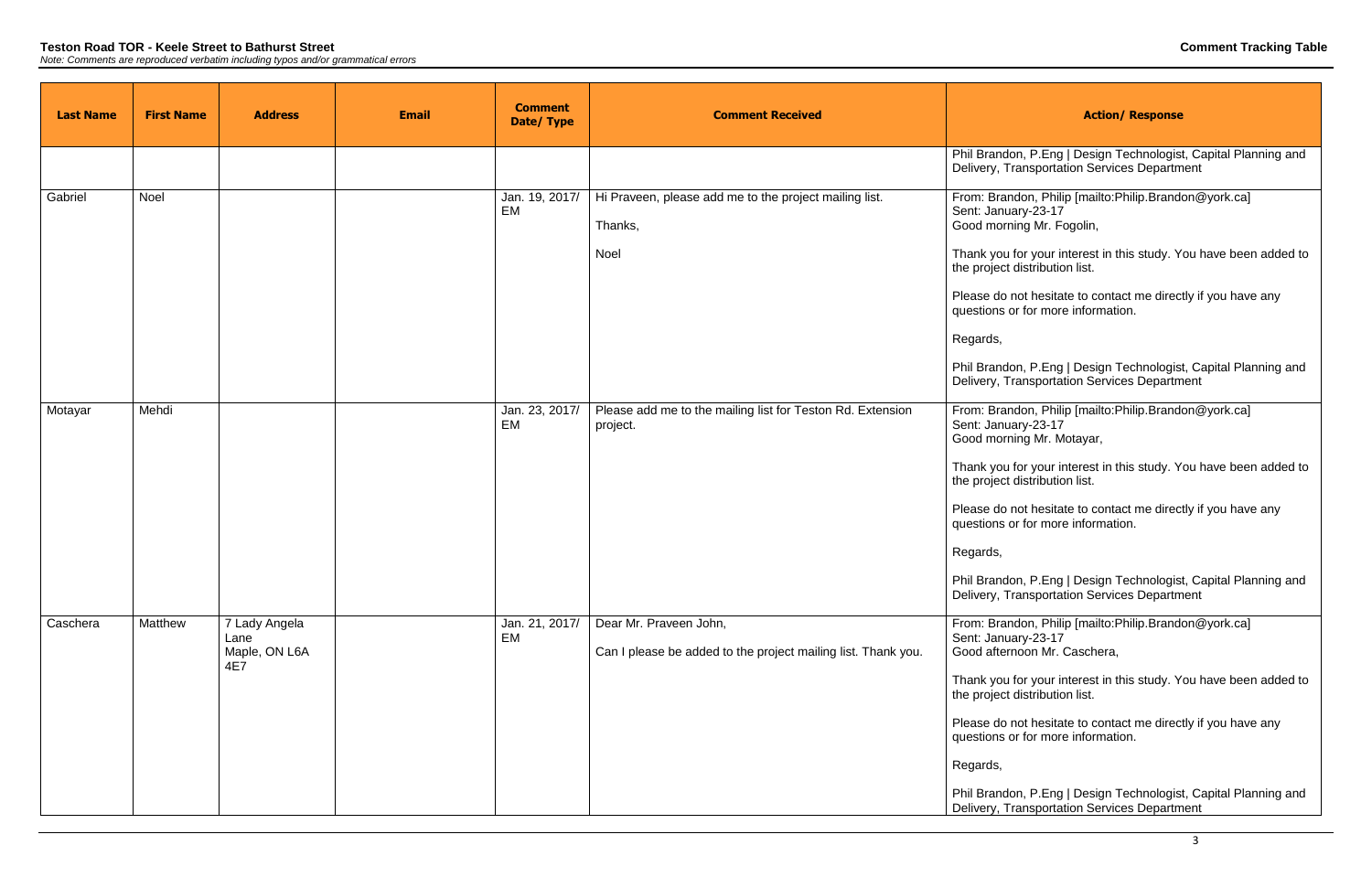*Note: Comments are reproduced verbatim including typos and/or grammatical errors*

| <b>Last Name</b> | <b>First Name</b> | <b>Address</b>        | <b>Email</b> | <b>Comment</b><br>Date/ Type | <b>Comment Received</b>                                                | <b>Action/ Response</b>                                                                        |
|------------------|-------------------|-----------------------|--------------|------------------------------|------------------------------------------------------------------------|------------------------------------------------------------------------------------------------|
|                  |                   |                       |              |                              |                                                                        | Phil Brandon, P.Eng   Design Technologis<br>Delivery, Transportation Services Departm          |
| Gabriel          | Noel              |                       |              | Jan. 19, 2017/<br>EM         | Hi Praveen, please add me to the project mailing list.<br>Thanks,      | From: Brandon, Philip [mailto:Philip.Brand<br>Sent: January-23-17<br>Good morning Mr. Fogolin, |
|                  |                   |                       |              |                              | Noel                                                                   | Thank you for your interest in this study. Y<br>the project distribution list.                 |
|                  |                   |                       |              |                              |                                                                        | Please do not hesitate to contact me direc<br>questions or for more information.               |
|                  |                   |                       |              |                              |                                                                        | Regards,                                                                                       |
|                  |                   |                       |              |                              |                                                                        | Phil Brandon, P.Eng   Design Technologis<br>Delivery, Transportation Services Departm          |
| Motayar          | Mehdi             |                       |              | Jan. 23, 2017/<br>EM         | Please add me to the mailing list for Teston Rd. Extension<br>project. | From: Brandon, Philip [mailto:Philip.Brand<br>Sent: January-23-17<br>Good morning Mr. Motayar, |
|                  |                   |                       |              |                              |                                                                        | Thank you for your interest in this study. Y<br>the project distribution list.                 |
|                  |                   |                       |              |                              |                                                                        | Please do not hesitate to contact me direc<br>questions or for more information.               |
|                  |                   |                       |              |                              |                                                                        | Regards,                                                                                       |
|                  |                   |                       |              |                              |                                                                        | Phil Brandon, P.Eng   Design Technologis<br>Delivery, Transportation Services Departm          |
| Caschera         | <b>Matthew</b>    | 7 Lady Angela         |              | Jan. 21, 2017/               | Dear Mr. Praveen John,                                                 | From: Brandon, Philip [mailto:Philip.Brand                                                     |
|                  |                   | Lane<br>Maple, ON L6A |              | EM                           | Can I please be added to the project mailing list. Thank you.          | Sent: January-23-17<br>Good afternoon Mr. Caschera,                                            |
|                  |                   | 4E7                   |              |                              |                                                                        | Thank you for your interest in this study. Y<br>the project distribution list.                 |
|                  |                   |                       |              |                              |                                                                        | Please do not hesitate to contact me direc<br>questions or for more information.               |
|                  |                   |                       |              |                              |                                                                        | Regards,                                                                                       |
|                  |                   |                       |              |                              |                                                                        | Phil Brandon, P.Eng   Design Technologis<br>Delivery, Transportation Services Departm          |

lon, P.Eng | Design Technologist, Capital Planning and Transportation Services Department

ndon, Philip [mailto:Philip.Brandon@york.ca] ary-23-17 ning Mr. Fogolin,

for your interest in this study. You have been added to distribution list.

not hesitate to contact me directly if you have any or for more information.

Ion, P.Eng | Design Technologist, Capital Planning and Transportation Services Department

ndon, Philip [mailto:Philip.Brandon@york.ca] ary-23-17 ning Mr. Motayar,

I for your interest in this study. You have been added to distribution list.

not hesitate to contact me directly if you have any or for more information.

lon, P.Eng | Design Technologist, Capital Planning and **Fransportation Services Department** 

ndon, Philip [mailto:Philip.Brandon@york.ca] ary-23-17 rnoon Mr. Caschera,

for your interest in this study. You have been added to distribution list.

not hesitate to contact me directly if you have any or for more information.

lon, P.Eng | Design Technologist, Capital Planning and **Fransportation Services Department**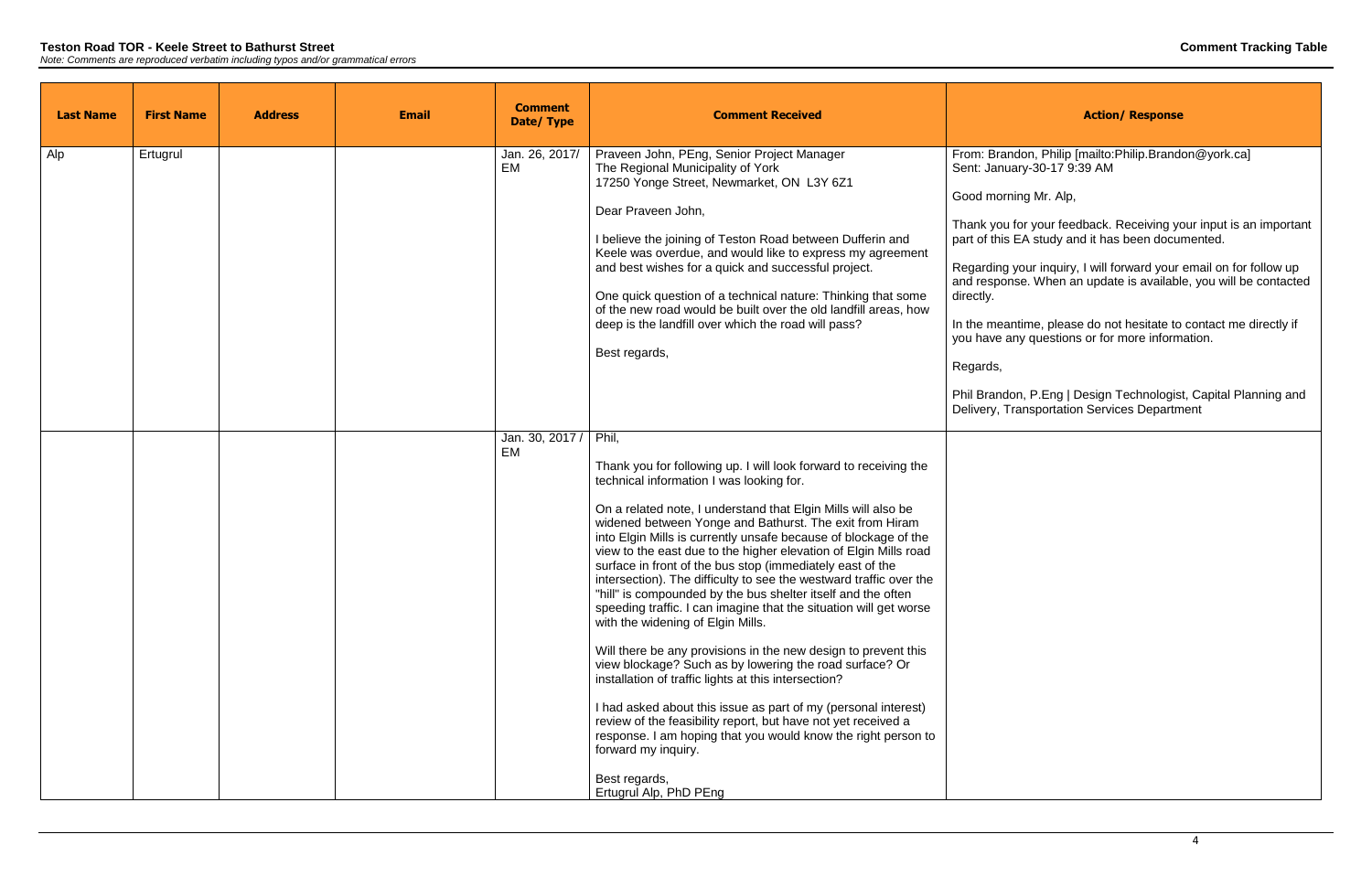*Note: Comments are reproduced verbatim including typos and/or grammatical errors*

Thank you for your feedback. Receiving your input is an important part of this EA study and it has been documented.

Regarding your inquiry, I will forward your email on for follow up and response. When an update is available, you will be contacted

> antime, please do not hesitate to contact me directly if any questions or for more information.

| <b>Last Name</b> | <b>First Name</b> | <b>Address</b> | <b>Email</b> | <b>Comment</b><br>Date/ Type | <b>Comment Received</b>                                                                                                                                                                                                                                                                                                                                                                                                                                                                                                                                                                                                                                                                                                                                                                                                                                                                                                                                                                                                                                                                                                                                          | <b>Action/ Response</b>                                                                                                                                                                                                                                                                                                                                                                                                                                                                                |
|------------------|-------------------|----------------|--------------|------------------------------|------------------------------------------------------------------------------------------------------------------------------------------------------------------------------------------------------------------------------------------------------------------------------------------------------------------------------------------------------------------------------------------------------------------------------------------------------------------------------------------------------------------------------------------------------------------------------------------------------------------------------------------------------------------------------------------------------------------------------------------------------------------------------------------------------------------------------------------------------------------------------------------------------------------------------------------------------------------------------------------------------------------------------------------------------------------------------------------------------------------------------------------------------------------|--------------------------------------------------------------------------------------------------------------------------------------------------------------------------------------------------------------------------------------------------------------------------------------------------------------------------------------------------------------------------------------------------------------------------------------------------------------------------------------------------------|
| Alp              | Ertugrul          |                |              | Jan. 26, 2017/<br>EM         | Praveen John, PEng, Senior Project Manager<br>The Regional Municipality of York<br>17250 Yonge Street, Newmarket, ON L3Y 6Z1<br>Dear Praveen John,<br>I believe the joining of Teston Road between Dufferin and<br>Keele was overdue, and would like to express my agreement<br>and best wishes for a quick and successful project.<br>One quick question of a technical nature: Thinking that some<br>of the new road would be built over the old landfill areas, how<br>deep is the landfill over which the road will pass?<br>Best regards,                                                                                                                                                                                                                                                                                                                                                                                                                                                                                                                                                                                                                   | From: Brandon, Philip [mailto:Philip.Brand<br>Sent: January-30-17 9:39 AM<br>Good morning Mr. Alp,<br>Thank you for your feedback. Receiving yo<br>part of this EA study and it has been docul<br>Regarding your inquiry, I will forward your<br>and response. When an update is availabl<br>directly.<br>In the meantime, please do not hesitate to<br>you have any questions or for more inform<br>Regards,<br>Phil Brandon, P.Eng   Design Technologis<br>Delivery, Transportation Services Departm |
|                  |                   |                |              | Jan. 30, 2017 /<br><b>EM</b> | Phil,<br>Thank you for following up. I will look forward to receiving the<br>technical information I was looking for.<br>On a related note, I understand that Elgin Mills will also be<br>widened between Yonge and Bathurst. The exit from Hiram<br>into Elgin Mills is currently unsafe because of blockage of the<br>view to the east due to the higher elevation of Elgin Mills road<br>surface in front of the bus stop (immediately east of the<br>intersection). The difficulty to see the westward traffic over the<br>"hill" is compounded by the bus shelter itself and the often<br>speeding traffic. I can imagine that the situation will get worse<br>with the widening of Elgin Mills.<br>Will there be any provisions in the new design to prevent this<br>view blockage? Such as by lowering the road surface? Or<br>installation of traffic lights at this intersection?<br>I had asked about this issue as part of my (personal interest)<br>review of the feasibility report, but have not yet received a<br>response. I am hoping that you would know the right person to<br>forward my inquiry.<br>Best regards,<br>Ertugrul Alp, PhD PEng |                                                                                                                                                                                                                                                                                                                                                                                                                                                                                                        |

ndon, Philip [mailto:Philip.Brandon@york.ca] .<br>http://www.ary-30-17 9:39 AM

Phil Brandon, P.Eng | Design Technologist, Capital Planning and Delivery, Transportation Services Department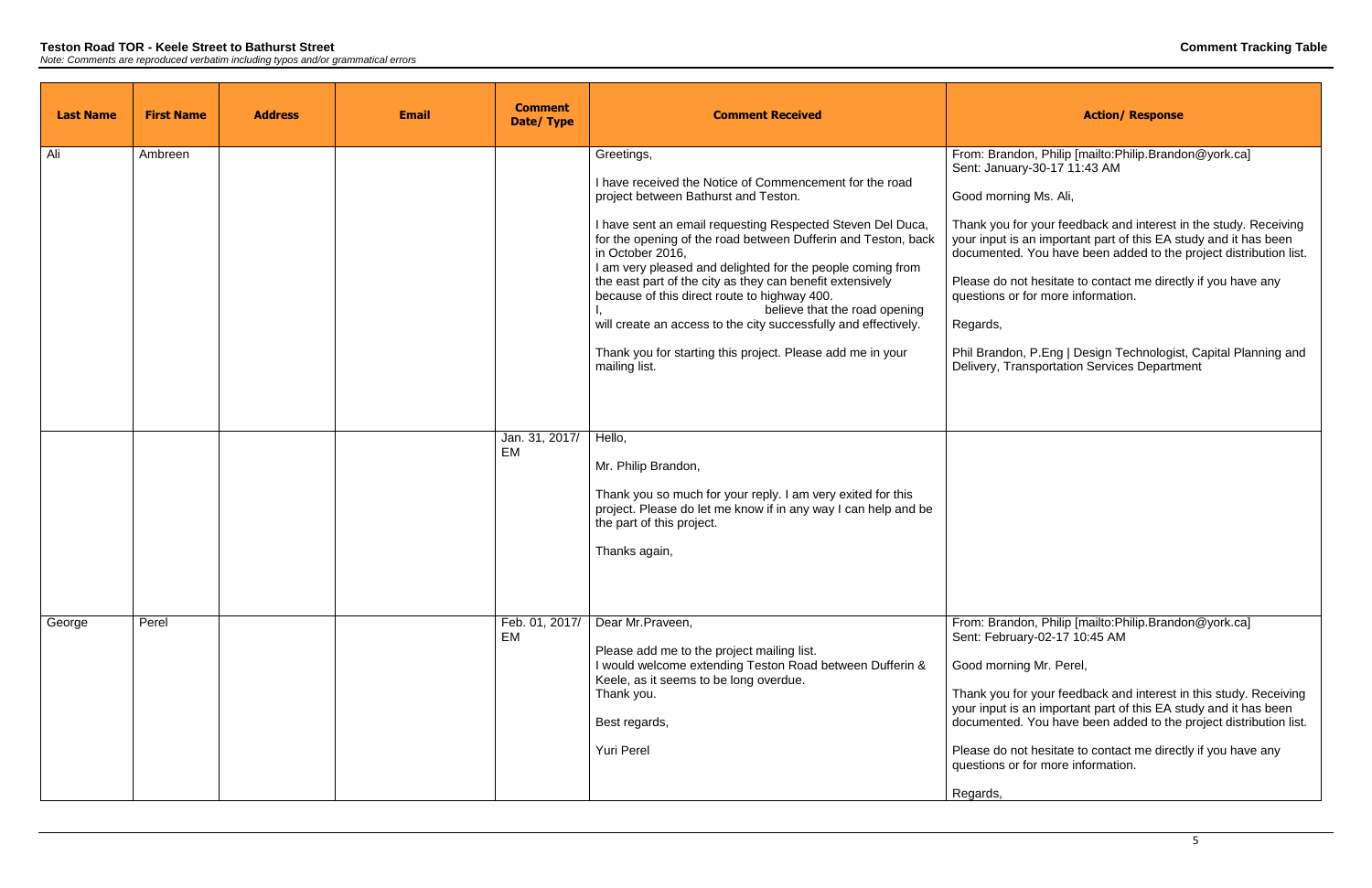*Note: Comments are reproduced verbatim including typos and/or grammatical errors*

| <b>Last Name</b> | <b>First Name</b> | <b>Address</b> | <b>Email</b> | <b>Comment</b><br>Date/ Type | <b>Comment Received</b>                                                                                                                                                                                                                                                                                                                                                                                                                                                                                                                                                                                                                  | <b>Action/ Response</b>                                                                                                                                                                                                                                                                                                                                                                                                               |
|------------------|-------------------|----------------|--------------|------------------------------|------------------------------------------------------------------------------------------------------------------------------------------------------------------------------------------------------------------------------------------------------------------------------------------------------------------------------------------------------------------------------------------------------------------------------------------------------------------------------------------------------------------------------------------------------------------------------------------------------------------------------------------|---------------------------------------------------------------------------------------------------------------------------------------------------------------------------------------------------------------------------------------------------------------------------------------------------------------------------------------------------------------------------------------------------------------------------------------|
| Ali              | Ambreen           |                |              | Jan. 31, 2017/               | Greetings,<br>I have received the Notice of Commencement for the road<br>project between Bathurst and Teston.<br>I have sent an email requesting Respected Steven Del Duca,<br>for the opening of the road between Dufferin and Teston, back<br>in October 2016.<br>I am very pleased and delighted for the people coming from<br>the east part of the city as they can benefit extensively<br>because of this direct route to highway 400.<br>believe that the road opening<br>will create an access to the city successfully and effectively.<br>Thank you for starting this project. Please add me in your<br>mailing list.<br>Hello, | From: Brandon, Philip [mailto:Philip.Brand<br>Sent: January-30-17 11:43 AM<br>Good morning Ms. Ali,<br>Thank you for your feedback and interest i<br>your input is an important part of this EA st<br>documented. You have been added to the<br>Please do not hesitate to contact me direc<br>questions or for more information.<br>Regards,<br>Phil Brandon, P.Eng   Design Technologis<br>Delivery, Transportation Services Departm |
|                  |                   |                |              | EM                           | Mr. Philip Brandon,<br>Thank you so much for your reply. I am very exited for this<br>project. Please do let me know if in any way I can help and be<br>the part of this project.<br>Thanks again,                                                                                                                                                                                                                                                                                                                                                                                                                                       |                                                                                                                                                                                                                                                                                                                                                                                                                                       |
| George           | Perel             |                |              | Feb. 01, 2017/<br>EM         | Dear Mr.Praveen,<br>Please add me to the project mailing list.<br>I would welcome extending Teston Road between Dufferin &<br>Keele, as it seems to be long overdue.<br>Thank you.<br>Best regards,<br><b>Yuri Perel</b>                                                                                                                                                                                                                                                                                                                                                                                                                 | From: Brandon, Philip [mailto:Philip.Brand<br>Sent: February-02-17 10:45 AM<br>Good morning Mr. Perel,<br>Thank you for your feedback and interest i<br>your input is an important part of this EA st<br>documented. You have been added to the<br>Please do not hesitate to contact me direc<br>questions or for more information.<br>Regards,                                                                                       |

ndon, Philip [mailto:Philip.Brandon@york.ca] .<br>11:43 AM גובות: Jary-30-17

I for your feedback and interest in the study. Receiving is an important part of this EA study and it has been ed. You have been added to the project distribution list.

not hesitate to contact me directly if you have any or for more information.

Ion, P.Eng | Design Technologist, Capital Planning and **Fransportation Services Department** 

ndon, Philip [mailto:Philip.Brandon@york.ca] uary-02-17 10:45 AM

Thank you for your feedback and interest in this study. Receiving your input is an important part of this EA study and it has been documented. You have been added to the project distribution list.

> not hesitate to contact me directly if you have any or for more information.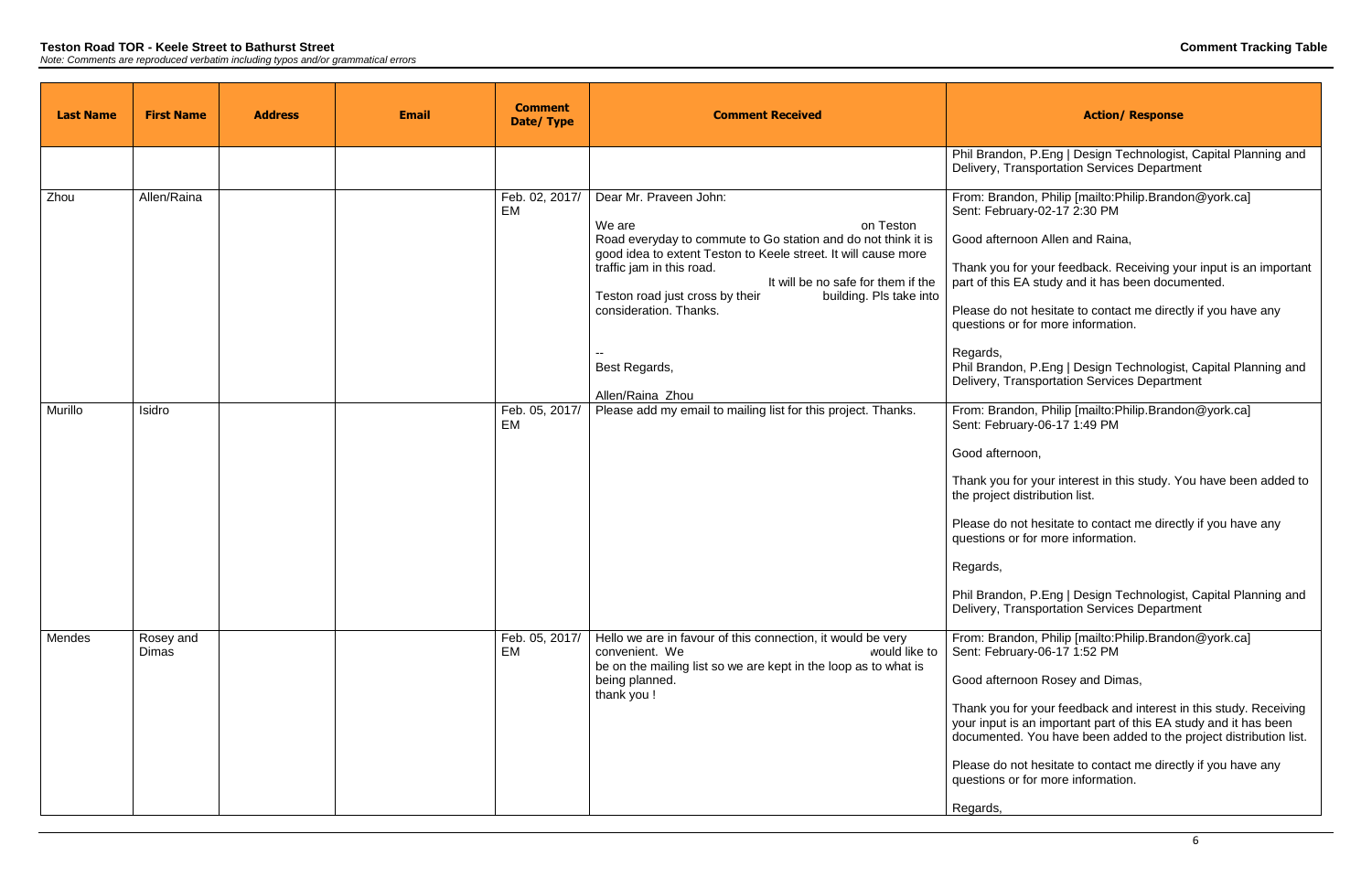*Note: Comments are reproduced verbatim including typos and/or grammatical errors*

| <b>Last Name</b> | <b>First Name</b>  | <b>Address</b> | <b>Email</b> | <b>Comment</b><br>Date/ Type | <b>Comment Received</b>                                                                                                                                                                                                                                                                                                                                                          | <b>Action/ Response</b>                                                                                                                                                                                                                                                                                                                                                                            |
|------------------|--------------------|----------------|--------------|------------------------------|----------------------------------------------------------------------------------------------------------------------------------------------------------------------------------------------------------------------------------------------------------------------------------------------------------------------------------------------------------------------------------|----------------------------------------------------------------------------------------------------------------------------------------------------------------------------------------------------------------------------------------------------------------------------------------------------------------------------------------------------------------------------------------------------|
|                  |                    |                |              |                              |                                                                                                                                                                                                                                                                                                                                                                                  | Phil Brandon, P.Eng   Design Technologis<br>Delivery, Transportation Services Departm                                                                                                                                                                                                                                                                                                              |
| Zhou             | Allen/Raina        |                |              | Feb. 02, 2017/<br>EM         | Dear Mr. Praveen John:<br>on Teston<br>We are<br>Road everyday to commute to Go station and do not think it is<br>good idea to extent Teston to Keele street. It will cause more<br>traffic jam in this road.<br>It will be no safe for them if the<br>Teston road just cross by their<br>building. Pls take into<br>consideration. Thanks.<br>Best Regards,<br>Allen/Raina Zhou | From: Brandon, Philip [mailto:Philip.Brand<br>Sent: February-02-17 2:30 PM<br>Good afternoon Allen and Raina,<br>Thank you for your feedback. Receiving yo<br>part of this EA study and it has been docul<br>Please do not hesitate to contact me direc<br>questions or for more information.<br>Regards,<br>Phil Brandon, P.Eng   Design Technologis<br>Delivery, Transportation Services Departm |
| Murillo          | Isidro             |                |              | Feb. 05, 2017/<br>EM         | Please add my email to mailing list for this project. Thanks.                                                                                                                                                                                                                                                                                                                    | From: Brandon, Philip [mailto:Philip.Brand<br>Sent: February-06-17 1:49 PM<br>Good afternoon,<br>Thank you for your interest in this study. Y<br>the project distribution list.<br>Please do not hesitate to contact me direc<br>questions or for more information.<br>Regards,<br>Phil Brandon, P.Eng   Design Technologis<br>Delivery, Transportation Services Departm                           |
| Mendes           | Rosey and<br>Dimas |                |              | Feb. 05, 2017/<br>EM         | Hello we are in favour of this connection, it would be very<br>convenient. We<br>would like to<br>be on the mailing list so we are kept in the loop as to what is<br>being planned.<br>thank you !                                                                                                                                                                               | From: Brandon, Philip [mailto:Philip.Brand<br>Sent: February-06-17 1:52 PM<br>Good afternoon Rosey and Dimas,<br>Thank you for your feedback and interest i<br>your input is an important part of this EA st<br>documented. You have been added to the<br>Please do not hesitate to contact me direc<br>questions or for more information.<br>Regards,                                             |

lon, P.Eng | Design Technologist, Capital Planning and **Transportation Services Department** 

ndon, Philip [mailto:Philip.Brandon@york.ca] uary-02-17 2:30 PM

for your feedback. Receiving your input is an important **EA study and it has been documented.** 

not hesitate to contact me directly if you have any or for more information.

lon, P.Eng | Design Technologist, Capital Planning and Transportation Services Department

ndon, Philip [mailto:Philip.Brandon@york.ca] uary-06-17 1:49 PM

for your interest in this study. You have been added to distribution list.

not hesitate to contact me directly if you have any or for more information.

lon, P.Eng | Design Technologist, Capital Planning and Transportation Services Department

ndon, Philip [mailto:Philip.Brandon@york.ca] uary-06-17 1:52 PM

for your feedback and interest in this study. Receiving is an important part of this EA study and it has been ed. You have been added to the project distribution list.

not hesitate to contact me directly if you have any or for more information.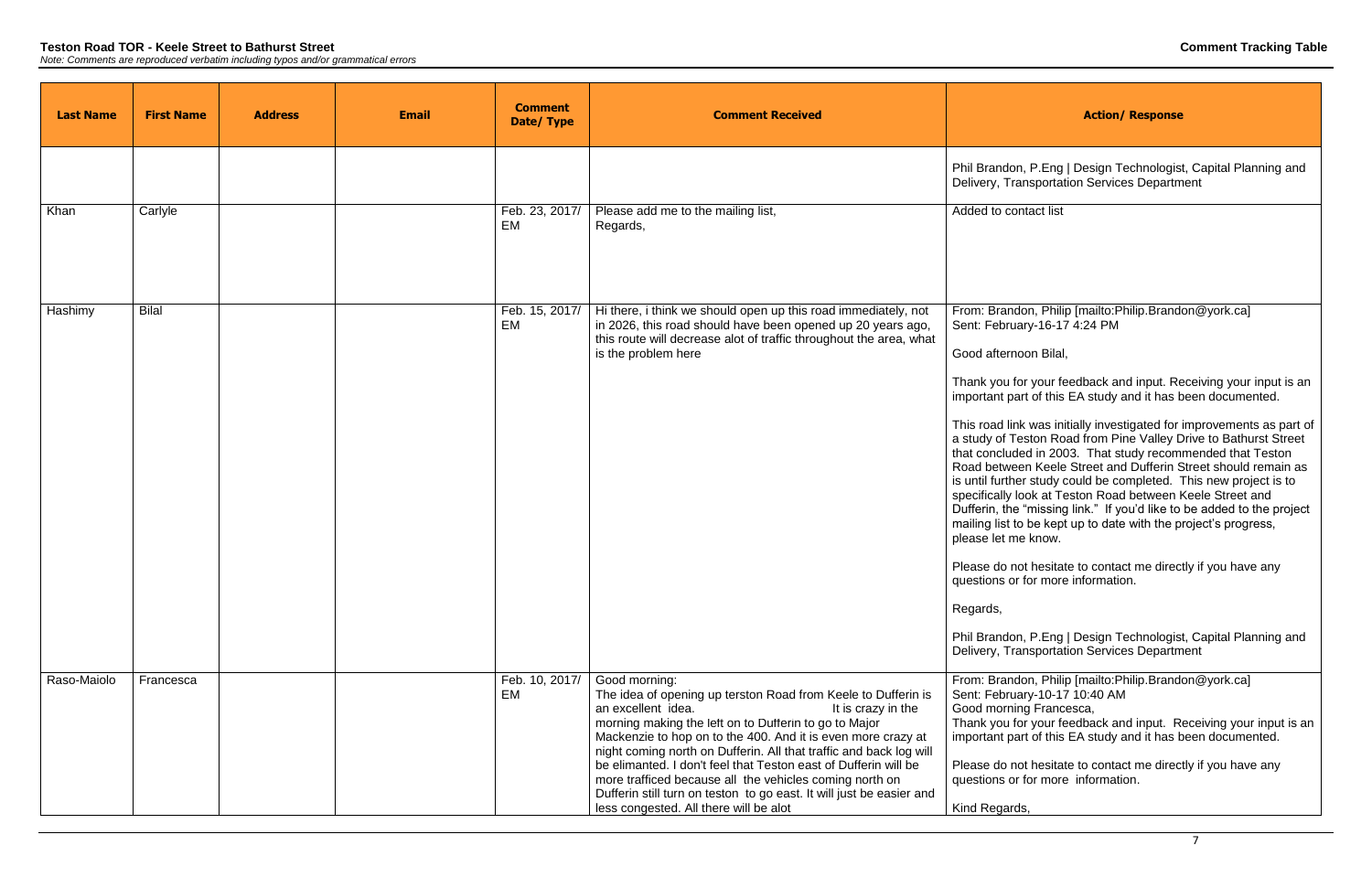*Note: Comments are reproduced verbatim including typos and/or grammatical errors*

| <b>Last Name</b> | <b>First Name</b> | <b>Address</b> | <b>Email</b> | <b>Comment</b><br>Date/ Type | <b>Comment Received</b>                                                                                                                                                                                                                                                                                                                                                                                                                                                                                                                                                   | <b>Action/ Response</b>                                                                                                                                                                                                                                                                                                                                                                                                                                                                                                                                                                                                                                                                                                                                                                               |
|------------------|-------------------|----------------|--------------|------------------------------|---------------------------------------------------------------------------------------------------------------------------------------------------------------------------------------------------------------------------------------------------------------------------------------------------------------------------------------------------------------------------------------------------------------------------------------------------------------------------------------------------------------------------------------------------------------------------|-------------------------------------------------------------------------------------------------------------------------------------------------------------------------------------------------------------------------------------------------------------------------------------------------------------------------------------------------------------------------------------------------------------------------------------------------------------------------------------------------------------------------------------------------------------------------------------------------------------------------------------------------------------------------------------------------------------------------------------------------------------------------------------------------------|
|                  |                   |                |              |                              |                                                                                                                                                                                                                                                                                                                                                                                                                                                                                                                                                                           | Phil Brandon, P.Eng   Design Technologis<br>Delivery, Transportation Services Departm                                                                                                                                                                                                                                                                                                                                                                                                                                                                                                                                                                                                                                                                                                                 |
| Khan             | Carlyle           |                |              | Feb. 23, 2017/<br>EM         | Please add me to the mailing list,<br>Regards,                                                                                                                                                                                                                                                                                                                                                                                                                                                                                                                            | Added to contact list                                                                                                                                                                                                                                                                                                                                                                                                                                                                                                                                                                                                                                                                                                                                                                                 |
| Hashimy          | <b>Bilal</b>      |                |              | Feb. 15, 2017/<br>EM         | Hi there, i think we should open up this road immediately, not<br>in 2026, this road should have been opened up 20 years ago,<br>this route will decrease alot of traffic throughout the area, what<br>is the problem here                                                                                                                                                                                                                                                                                                                                                | From: Brandon, Philip [mailto:Philip.Brand<br>Sent: February-16-17 4:24 PM<br>Good afternoon Bilal,<br>Thank you for your feedback and input. Re<br>important part of this EA study and it has b<br>This road link was initially investigated for<br>a study of Teston Road from Pine Valley D<br>that concluded in 2003. That study recom<br>Road between Keele Street and Dufferin S<br>is until further study could be completed.<br>specifically look at Teston Road between I<br>Dufferin, the "missing link." If you'd like to<br>mailing list to be kept up to date with the p<br>please let me know.<br>Please do not hesitate to contact me direc<br>questions or for more information.<br>Regards,<br>Phil Brandon, P.Eng   Design Technologis<br>Delivery, Transportation Services Departm |
| Raso-Maiolo      | Francesca         |                |              | Feb. 10, 2017/<br>EM         | Good morning:<br>The idea of opening up terston Road from Keele to Dufferin is<br>an excellent idea.<br>It is crazy in the<br>morning making the left on to Dufferin to go to Major<br>Mackenzie to hop on to the 400. And it is even more crazy at<br>night coming north on Dufferin. All that traffic and back log will<br>be elimanted. I don't feel that Teston east of Dufferin will be<br>more trafficed because all the vehicles coming north on<br>Dufferin still turn on teston to go east. It will just be easier and<br>less congested. All there will be alot | From: Brandon, Philip [mailto:Philip.Brand<br>Sent: February-10-17 10:40 AM<br>Good morning Francesca,<br>Thank you for your feedback and input. R<br>important part of this EA study and it has b<br>Please do not hesitate to contact me direc<br>questions or for more information.<br>Kind Regards,                                                                                                                                                                                                                                                                                                                                                                                                                                                                                               |

lon, P.Eng | Design Technologist, Capital Planning and Transportation Services Department

ndon, Philip [mailto:Philip.Brandon@york.ca] uary-16-17 4:24 PM

for your feedback and input. Receiving your input is an part of this EA study and it has been documented.

link was initially investigated for improvements as part of Teston Road from Pine Valley Drive to Bathurst Street  $1$ uded in 2003. That study recommended that Teston veen Keele Street and Dufferin Street should remain as her study could be completed. This new project is to Iook at Teston Road between Keele Street and ne "missing link." If you'd like to be added to the project to be kept up to date with the project's progress, me know.

not hesitate to contact me directly if you have any or for more information.

lon, P.Eng | Design Technologist, Capital Planning and Transportation Services Department

ndon, Philip [mailto:Philip.Brandon@york.ca] uary-10-17 10:40 AM ning Francesca,

for your feedback and input. Receiving your input is an part of this EA study and it has been documented.

not hesitate to contact me directly if you have any or for more information.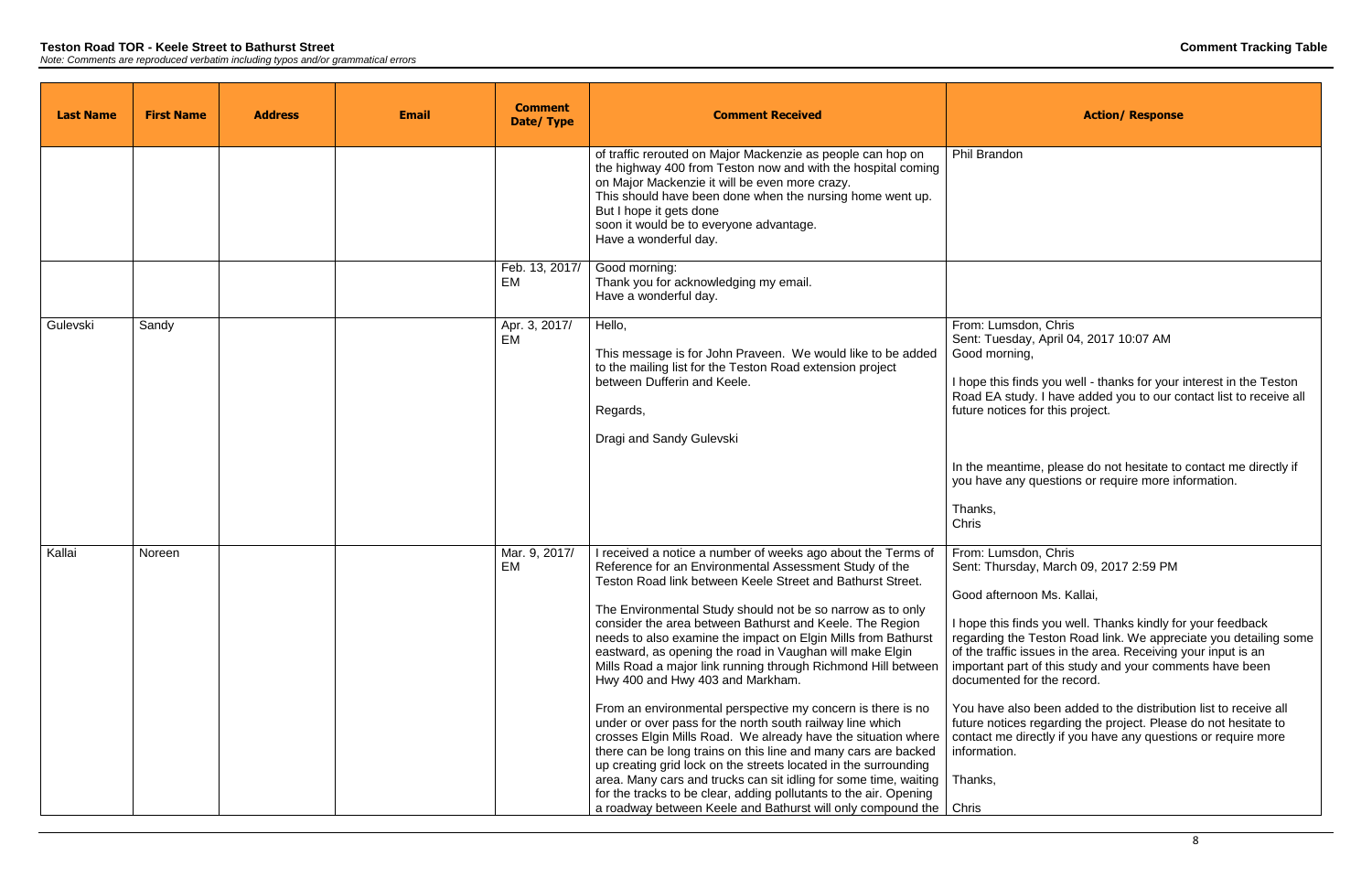*Note: Comments are reproduced verbatim including typos and/or grammatical errors*

I hope this finds you well - thanks for your interest in the Teston Road EA study. I have added you to our contact list to receive all ces for this project.

> antime, please do not hesitate to contact me directly if any questions or require more information.

I hope this finds you well. Thanks kindly for your feedback regarding the Teston Road link. We appreciate you detailing some of the traffic issues in the area. Receiving your input is an part of this study and your comments have been documented for the record.

> also been added to the distribution list to receive all ices regarding the project. Please do not hesitate to e directly if you have any questions or require more in.

| <b>Last Name</b> | <b>First Name</b> | <b>Address</b> | <b>Email</b> | <b>Comment</b><br>Date/ Type | <b>Comment Received</b>                                                                                                                                                                                                                                                                                                                                  | <b>Action/ Response</b>                                                                                                                                                                                                                            |
|------------------|-------------------|----------------|--------------|------------------------------|----------------------------------------------------------------------------------------------------------------------------------------------------------------------------------------------------------------------------------------------------------------------------------------------------------------------------------------------------------|----------------------------------------------------------------------------------------------------------------------------------------------------------------------------------------------------------------------------------------------------|
|                  |                   |                |              |                              | of traffic rerouted on Major Mackenzie as people can hop on<br>the highway 400 from Teston now and with the hospital coming<br>on Major Mackenzie it will be even more crazy.<br>This should have been done when the nursing home went up.<br>But I hope it gets done<br>soon it would be to everyone advantage.<br>Have a wonderful day.                | Phil Brandon                                                                                                                                                                                                                                       |
|                  |                   |                |              | Feb. 13, 2017/<br><b>EM</b>  | Good morning:<br>Thank you for acknowledging my email.<br>Have a wonderful day.                                                                                                                                                                                                                                                                          |                                                                                                                                                                                                                                                    |
| Gulevski         | Sandy             |                |              | Apr. 3, 2017/<br>EM          | Hello,<br>This message is for John Praveen. We would like to be added<br>to the mailing list for the Teston Road extension project                                                                                                                                                                                                                       | From: Lumsdon, Chris<br>Sent: Tuesday, April 04, 2017 10:07 AM<br>Good morning,                                                                                                                                                                    |
|                  |                   |                |              |                              | between Dufferin and Keele.<br>Regards,<br>Dragi and Sandy Gulevski                                                                                                                                                                                                                                                                                      | I hope this finds you well - thanks for your<br>Road EA study. I have added you to our co<br>future notices for this project.                                                                                                                      |
|                  |                   |                |              |                              |                                                                                                                                                                                                                                                                                                                                                          | In the meantime, please do not hesitate to<br>you have any questions or require more in                                                                                                                                                            |
|                  |                   |                |              |                              |                                                                                                                                                                                                                                                                                                                                                          | Thanks,<br>Chris                                                                                                                                                                                                                                   |
| Kallai           | Noreen            |                |              | Mar. 9, 2017/<br>EM          | I received a notice a number of weeks ago about the Terms of<br>Reference for an Environmental Assessment Study of the<br>Teston Road link between Keele Street and Bathurst Street.                                                                                                                                                                     | From: Lumsdon, Chris<br>Sent: Thursday, March 09, 2017 2:59 PM                                                                                                                                                                                     |
|                  |                   |                |              |                              | The Environmental Study should not be so narrow as to only<br>consider the area between Bathurst and Keele. The Region<br>needs to also examine the impact on Elgin Mills from Bathurst<br>eastward, as opening the road in Vaughan will make Elgin<br>Mills Road a major link running through Richmond Hill between<br>Hwy 400 and Hwy 403 and Markham. | Good afternoon Ms. Kallai,<br>I hope this finds you well. Thanks kindly fo<br>regarding the Teston Road link. We appre<br>of the traffic issues in the area. Receiving<br>important part of this study and your comm<br>documented for the record. |
|                  |                   |                |              |                              | From an environmental perspective my concern is there is no<br>under or over pass for the north south railway line which<br>crosses Elgin Mills Road. We already have the situation where<br>there can be long trains on this line and many cars are backed<br>up creating grid lock on the streets located in the surrounding                           | You have also been added to the distributi<br>future notices regarding the project. Please<br>contact me directly if you have any questic<br>information.                                                                                          |
|                  |                   |                |              |                              | area. Many cars and trucks can sit idling for some time, waiting<br>for the tracks to be clear, adding pollutants to the air. Opening<br>a roadway between Keele and Bathurst will only compound the   Chris                                                                                                                                             | Thanks,                                                                                                                                                                                                                                            |

| <b>Action/ Response</b> |
|-------------------------|
|                         |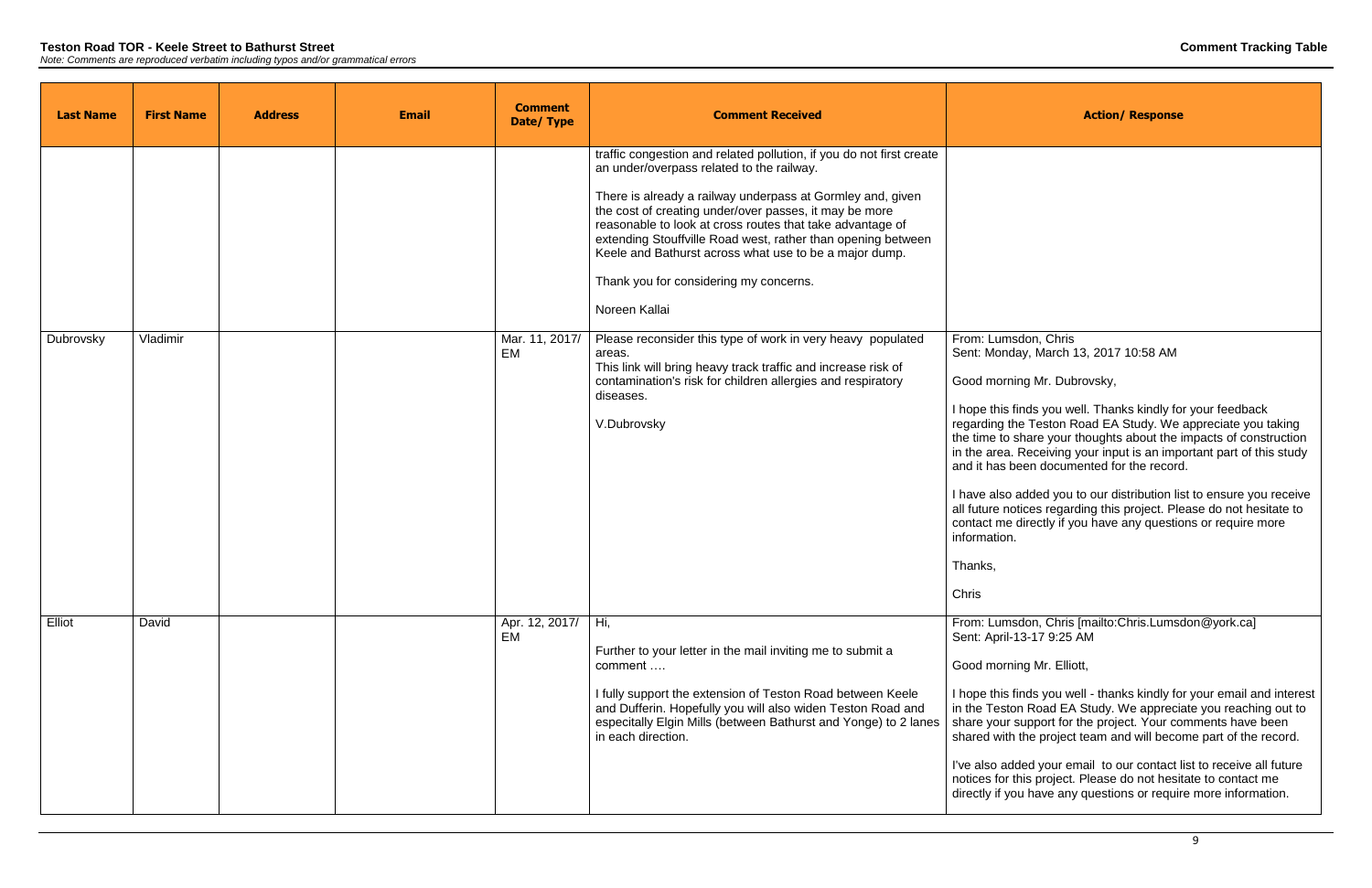*Note: Comments are reproduced verbatim including typos and/or grammatical errors*

| <b>Last Name</b> | <b>First Name</b> | <b>Address</b> | <b>Email</b> | <b>Comment</b><br>Date/ Type | <b>Comment Received</b>                                                                                                                                                                                                                                                                                                                                                                                                                                                                                                                                                                                                                                                                                           | <b>Action/ Response</b>                                                                                                                                                                                                                                                                                                                                                                                                                       |
|------------------|-------------------|----------------|--------------|------------------------------|-------------------------------------------------------------------------------------------------------------------------------------------------------------------------------------------------------------------------------------------------------------------------------------------------------------------------------------------------------------------------------------------------------------------------------------------------------------------------------------------------------------------------------------------------------------------------------------------------------------------------------------------------------------------------------------------------------------------|-----------------------------------------------------------------------------------------------------------------------------------------------------------------------------------------------------------------------------------------------------------------------------------------------------------------------------------------------------------------------------------------------------------------------------------------------|
| Dubrovsky        | Vladimir          |                |              | Mar. 11, 2017/<br>EM         | traffic congestion and related pollution, if you do not first create<br>an under/overpass related to the railway.<br>There is already a railway underpass at Gormley and, given<br>the cost of creating under/over passes, it may be more<br>reasonable to look at cross routes that take advantage of<br>extending Stouffville Road west, rather than opening between<br>Keele and Bathurst across what use to be a major dump.<br>Thank you for considering my concerns.<br>Noreen Kallai<br>Please reconsider this type of work in very heavy populated<br>areas.<br>This link will bring heavy track traffic and increase risk of<br>contamination's risk for children allergies and respiratory<br>diseases. | From: Lumsdon, Chris<br>Sent: Monday, March 13, 2017 10:58 AM<br>Good morning Mr. Dubrovsky,<br>I hope this finds you well. Thanks kindly fo                                                                                                                                                                                                                                                                                                  |
|                  |                   |                |              |                              | V.Dubrovsky                                                                                                                                                                                                                                                                                                                                                                                                                                                                                                                                                                                                                                                                                                       | regarding the Teston Road EA Study. We<br>the time to share your thoughts about the i<br>in the area. Receiving your input is an imp<br>and it has been documented for the record<br>I have also added you to our distribution list<br>all future notices regarding this project. Ple<br>contact me directly if you have any questic<br>information.<br>Thanks,<br>Chris                                                                      |
| Elliot           | David             |                |              | Apr. 12, 2017/<br>EM         | Hi,<br>Further to your letter in the mail inviting me to submit a<br>comment<br>I fully support the extension of Teston Road between Keele<br>and Dufferin. Hopefully you will also widen Teston Road and<br>especitally Elgin Mills (between Bathurst and Yonge) to 2 lanes<br>in each direction.                                                                                                                                                                                                                                                                                                                                                                                                                | From: Lumsdon, Chris [mailto:Chris.Lumson<br>Sent: April-13-17 9:25 AM<br>Good morning Mr. Elliott,<br>I hope this finds you well - thanks kindly fo<br>in the Teston Road EA Study. We apprecia<br>share your support for the project. Your co<br>shared with the project team and will beco<br>I've also added your email to our contact I<br>notices for this project. Please do not hesit<br>directly if you have any questions or requir |

s finds you well. Thanks kindly for your feedback fie Teston Road EA Study. We appreciate you taking  $\frac{1}{10}$  o share your thoughts about the impacts of construction a. Receiving your input is an important part of this study been documented for the record.

o added you to our distribution list to ensure you receive notices regarding this project. Please do not hesitate to e directly if you have any questions or require more  $\mathsf{in}$ 

msdon, Chris [mailto:Chris.Lumsdon@york.ca] il-13-17 9:25 AM

s finds you well - thanks kindly for your email and interest ston Road EA Study. We appreciate you reaching out to I support for the project. Your comments have been ith the project team and will become part of the record.

added your email to our contact list to receive all future r this project. Please do not hesitate to contact me you have any questions or require more information.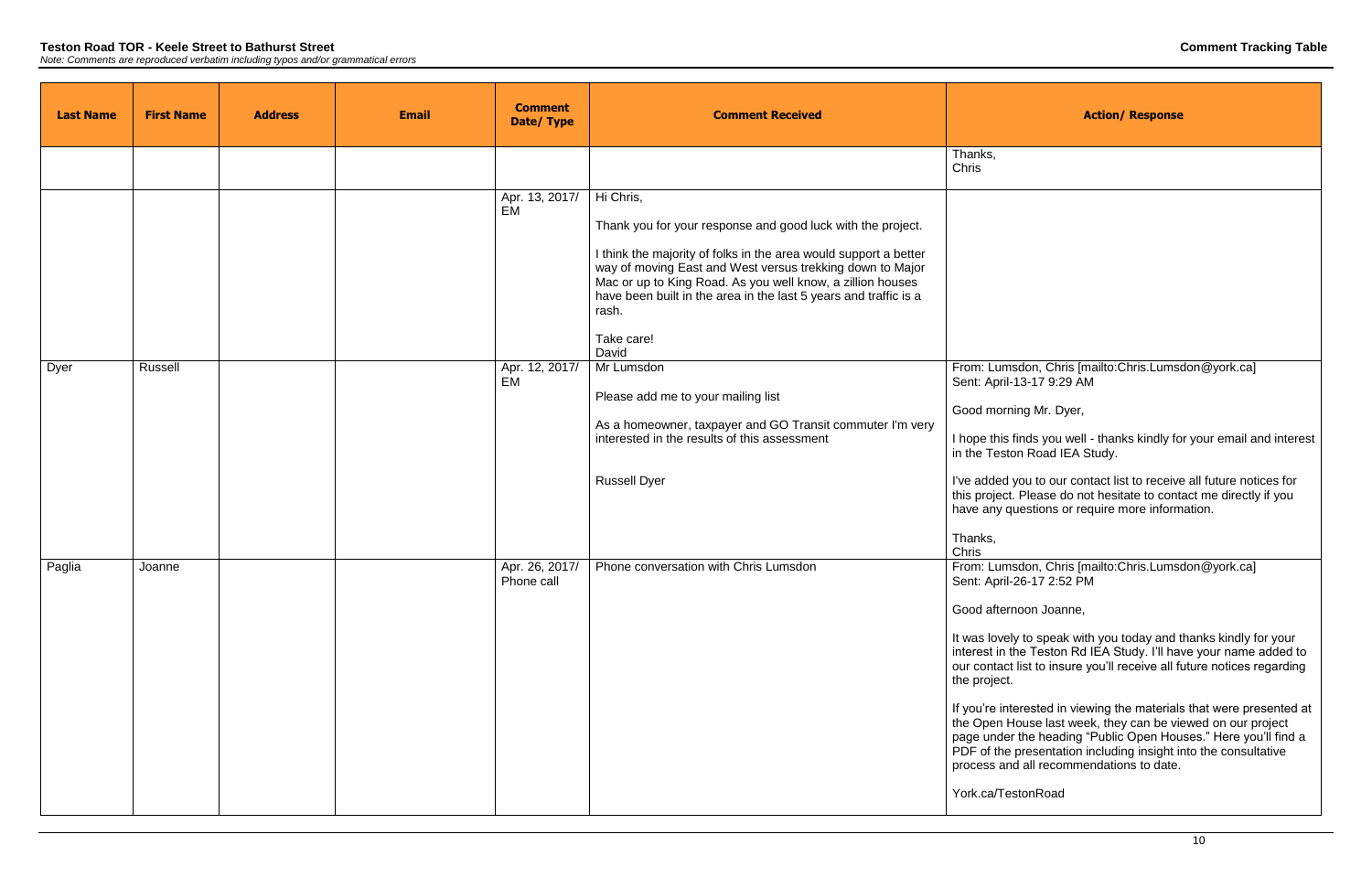*Note: Comments are reproduced verbatim including typos and/or grammatical errors*

you to our contact list to receive all future notices for ct. Please do not hesitate to contact me directly if you have any questions or require more information.

msdon, Chris [mailto:Chris.Lumsdon@york.ca] il-26-17 2:52 PM

ely to speak with you today and thanks kindly for your ithe Teston Rd IEA Study. I'll have your name added to ct list to insure you'll receive all future notices regarding it.

nterested in viewing the materials that were presented at House last week, they can be viewed on our project er the heading "Public Open Houses." Here you'll find a e presentation including insight into the consultative nd all recommendations to date.

| <b>Last Name</b> | <b>First Name</b> | <b>Address</b> | <b>Email</b> | <b>Comment</b><br>Date/ Type | <b>Comment Received</b>                                                                                                                                                                                                                                                                                                                                                     | <b>Action/ Response</b>                                                                                                                                                                                                                                                                                                                                                                                                                                                                                                         |
|------------------|-------------------|----------------|--------------|------------------------------|-----------------------------------------------------------------------------------------------------------------------------------------------------------------------------------------------------------------------------------------------------------------------------------------------------------------------------------------------------------------------------|---------------------------------------------------------------------------------------------------------------------------------------------------------------------------------------------------------------------------------------------------------------------------------------------------------------------------------------------------------------------------------------------------------------------------------------------------------------------------------------------------------------------------------|
|                  |                   |                |              |                              |                                                                                                                                                                                                                                                                                                                                                                             | Thanks,<br>Chris                                                                                                                                                                                                                                                                                                                                                                                                                                                                                                                |
|                  |                   |                |              | Apr. 13, 2017/<br><b>EM</b>  | Hi Chris,<br>Thank you for your response and good luck with the project.<br>I think the majority of folks in the area would support a better<br>way of moving East and West versus trekking down to Major<br>Mac or up to King Road. As you well know, a zillion houses<br>have been built in the area in the last 5 years and traffic is a<br>rash.<br>Take care!<br>David |                                                                                                                                                                                                                                                                                                                                                                                                                                                                                                                                 |
| Dyer             | Russell           |                |              | Apr. 12, 2017/<br>EM         | Mr Lumsdon<br>Please add me to your mailing list<br>As a homeowner, taxpayer and GO Transit commuter I'm very<br>interested in the results of this assessment<br><b>Russell Dyer</b>                                                                                                                                                                                        | From: Lumsdon, Chris [mailto:Chris.Lumso<br>Sent: April-13-17 9:29 AM<br>Good morning Mr. Dyer,<br>I hope this finds you well - thanks kindly fo<br>in the Teston Road IEA Study.<br>I've added you to our contact list to receive<br>this project. Please do not hesitate to cont<br>have any questions or require more inform<br>Thanks,<br>Chris                                                                                                                                                                             |
| Paglia           | Joanne            |                |              | Apr. 26, 2017/<br>Phone call | Phone conversation with Chris Lumsdon                                                                                                                                                                                                                                                                                                                                       | From: Lumsdon, Chris [mailto:Chris.Lumson<br>Sent: April-26-17 2:52 PM<br>Good afternoon Joanne,<br>It was lovely to speak with you today and t<br>interest in the Teston Rd IEA Study. I'll hay<br>our contact list to insure you'll receive all fu<br>the project.<br>If you're interested in viewing the materials<br>the Open House last week, they can be vie<br>page under the heading "Public Open Hou<br>PDF of the presentation including insight ir<br>process and all recommendations to date.<br>York.ca/TestonRoad |

msdon, Chris [mailto:Chris.Lumsdon@york.ca] il-13-17 9:29 AM

If finds you well - thanks kindly for your email and interest ton Road IEA Study.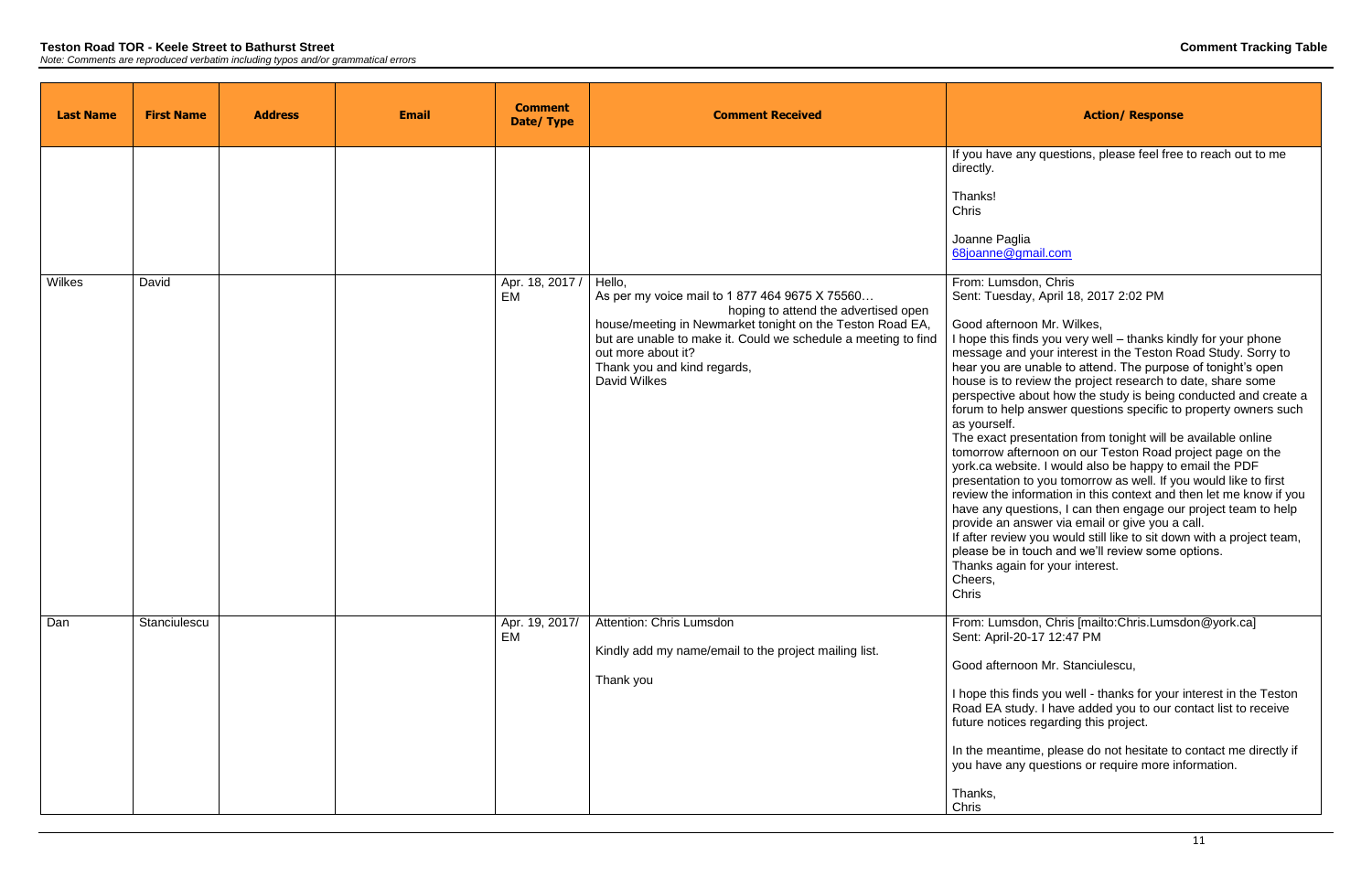*Note: Comments are reproduced verbatim including typos and/or grammatical errors*

| <b>Last Name</b> | <b>First Name</b> | <b>Address</b> | <b>Email</b> | <b>Comment</b><br>Date/ Type | <b>Comment Received</b>                                                                                                                                                                                                                                                                              | <b>Action/ Response</b>                                                                                                                                                                                                                                                                                                                                                                                                                                                                                                                                                                                                                                                                                                                                                                                                                                                                                                                                                                                          |
|------------------|-------------------|----------------|--------------|------------------------------|------------------------------------------------------------------------------------------------------------------------------------------------------------------------------------------------------------------------------------------------------------------------------------------------------|------------------------------------------------------------------------------------------------------------------------------------------------------------------------------------------------------------------------------------------------------------------------------------------------------------------------------------------------------------------------------------------------------------------------------------------------------------------------------------------------------------------------------------------------------------------------------------------------------------------------------------------------------------------------------------------------------------------------------------------------------------------------------------------------------------------------------------------------------------------------------------------------------------------------------------------------------------------------------------------------------------------|
| Wilkes           | David             |                |              | Apr. 18, 2017 /<br>EM        | Hello,<br>As per my voice mail to 1 877 464 9675 X 75560<br>hoping to attend the advertised open<br>house/meeting in Newmarket tonight on the Teston Road EA,<br>but are unable to make it. Could we schedule a meeting to find<br>out more about it?<br>Thank you and kind regards,<br>David Wilkes | If you have any questions, please feel free<br>directly.<br>Thanks!<br>Chris<br>Joanne Paglia<br>68joanne@gmail.com<br>From: Lumsdon, Chris<br>Sent: Tuesday, April 18, 2017 2:02 PM<br>Good afternoon Mr. Wilkes,<br>I hope this finds you very well - thanks kin<br>message and your interest in the Teston R<br>hear you are unable to attend. The purpos<br>house is to review the project research to<br>perspective about how the study is being of<br>forum to help answer questions specific to<br>as yourself.<br>The exact presentation from tonight will be<br>tomorrow afternoon on our Teston Road p<br>york.ca website. I would also be happy to<br>presentation to you tomorrow as well. If yo<br>review the information in this context and t<br>have any questions, I can then engage our<br>provide an answer via email or give you a<br>If after review you would still like to sit dow<br>please be in touch and we'll review some of<br>Thanks again for your interest.<br>Cheers,<br>Chris |
| Dan              | Stanciulescu      |                |              | Apr. 19, 2017/<br>EM         | Attention: Chris Lumsdon<br>Kindly add my name/email to the project mailing list.<br>Thank you                                                                                                                                                                                                       | From: Lumsdon, Chris [mailto:Chris.Lumso<br>Sent: April-20-17 12:47 PM<br>Good afternoon Mr. Stanciulescu,<br>I hope this finds you well - thanks for your<br>Road EA study. I have added you to our co<br>future notices regarding this project.<br>In the meantime, please do not hesitate to<br>you have any questions or require more in<br>Thanks,<br>Chris                                                                                                                                                                                                                                                                                                                                                                                                                                                                                                                                                                                                                                                 |

any questions, please feel free to reach out to me

finds you very well – thanks kindly for your phone and your interest in the Teston Road Study. Sorry to are unable to attend. The purpose of tonight's open review the project research to date, share some e about how the study is being conducted and create a elp answer questions specific to property owners such

presentation from tonight will be available online thernoon on our Teston Road project page on the bsite. I would also be happy to email the PDF on to you tomorrow as well. If you would like to first information in this context and then let me know if you questions, I can then engage our project team to help answer via email or give you a call.

iew you would still like to sit down with a project team, in touch and we'll review some options. ain for your interest.

nsdon, Chris [mailto:Chris.Lumsdon@york.ca] -20-17 12:47 PM

finds you well - thanks for your interest in the Teston study. I have added you to our contact list to receive ces regarding this project.

intime, please do not hesitate to contact me directly if any questions or require more information.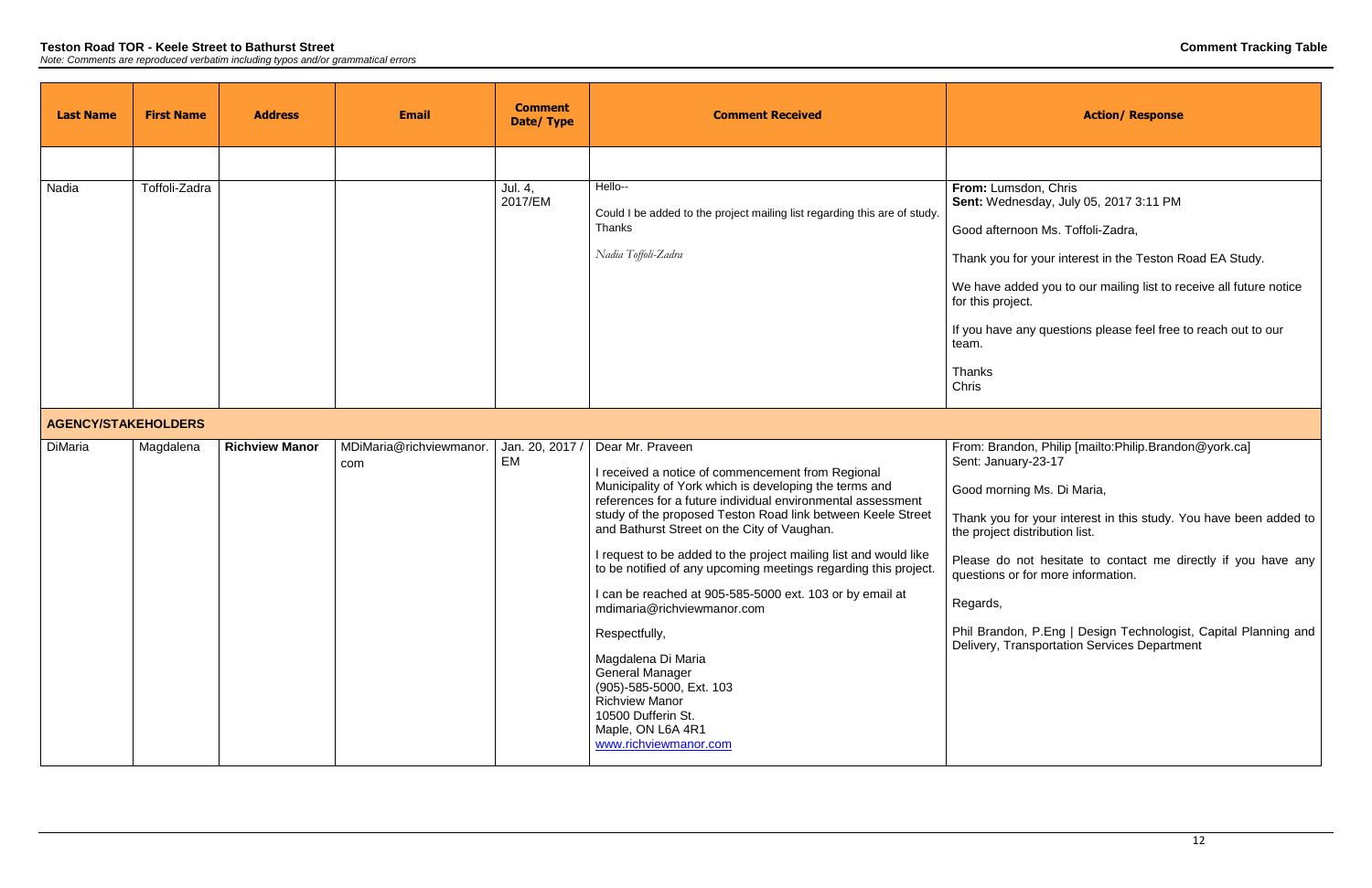*Note: Comments are reproduced verbatim including typos and/or grammatical errors*

I for your interest in the Teston Road EA Study.

added you to our mailing list to receive all future notice pject.

e any questions please feel free to reach out to our

ndon, Philip [mailto:Philip.Brandon@york.ca]  $Jary-23-17$ 

I for your interest in this study. You have been added to distribution list.

| <b>Last Name</b>           | <b>First Name</b> | <b>Address</b>        | <b>Email</b>                   | <b>Comment</b><br>Date/ Type | <b>Comment Received</b>                                                                                                                                                                                                                                                                                                                                                                                                                                                                                                                                                                                                                                                                   | <b>Action/ Response</b>                                                                                                                                                                                                                                                                                                                                                |
|----------------------------|-------------------|-----------------------|--------------------------------|------------------------------|-------------------------------------------------------------------------------------------------------------------------------------------------------------------------------------------------------------------------------------------------------------------------------------------------------------------------------------------------------------------------------------------------------------------------------------------------------------------------------------------------------------------------------------------------------------------------------------------------------------------------------------------------------------------------------------------|------------------------------------------------------------------------------------------------------------------------------------------------------------------------------------------------------------------------------------------------------------------------------------------------------------------------------------------------------------------------|
| Nadia                      | Toffoli-Zadra     |                       |                                | Jul. 4,<br>2017/EM           | Hello--<br>Could I be added to the project mailing list regarding this are of study.<br>Thanks<br>Nadia Toffoli-Zadra                                                                                                                                                                                                                                                                                                                                                                                                                                                                                                                                                                     | From: Lumsdon, Chris<br>Sent: Wednesday, July 05, 2017 3:11 PM<br>Good afternoon Ms. Toffoli-Zadra,<br>Thank you for your interest in the Teston F<br>We have added you to our mailing list to re<br>for this project.<br>If you have any questions please feel free<br>team.<br>Thanks<br>Chris                                                                       |
| <b>AGENCY/STAKEHOLDERS</b> |                   |                       |                                |                              |                                                                                                                                                                                                                                                                                                                                                                                                                                                                                                                                                                                                                                                                                           |                                                                                                                                                                                                                                                                                                                                                                        |
| DiMaria                    | Magdalena         | <b>Richview Manor</b> | MDiMaria@richviewmanor.<br>com | Jan. 20, 2017 /<br>EM        | Dear Mr. Praveen<br>I received a notice of commencement from Regional<br>Municipality of York which is developing the terms and<br>references for a future individual environmental assessment<br>study of the proposed Teston Road link between Keele Street<br>and Bathurst Street on the City of Vaughan.<br>I request to be added to the project mailing list and would like<br>to be notified of any upcoming meetings regarding this project.<br>I can be reached at 905-585-5000 ext. 103 or by email at<br>mdimaria@richviewmanor.com<br>Respectfully,<br>Magdalena Di Maria<br><b>General Manager</b><br>(905)-585-5000, Ext. 103<br><b>Richview Manor</b><br>10500 Dufferin St. | From: Brandon, Philip [mailto:Philip.Brand<br>Sent: January-23-17<br>Good morning Ms. Di Maria,<br>Thank you for your interest in this study. Y<br>the project distribution list.<br>Please do not hesitate to contact me o<br>questions or for more information.<br>Regards,<br>Phil Brandon, P.Eng   Design Technologis<br>Delivery, Transportation Services Departm |

Maple, ON L6A 4R1 [www.richviewmanor.com](http://www.richviewmanor.com/)

Please do not hesitate to contact me directly if you have any questions or for more information.

Phil Brandon, P.Eng | Design Technologist, Capital Planning and Delivery, Transportation Services Department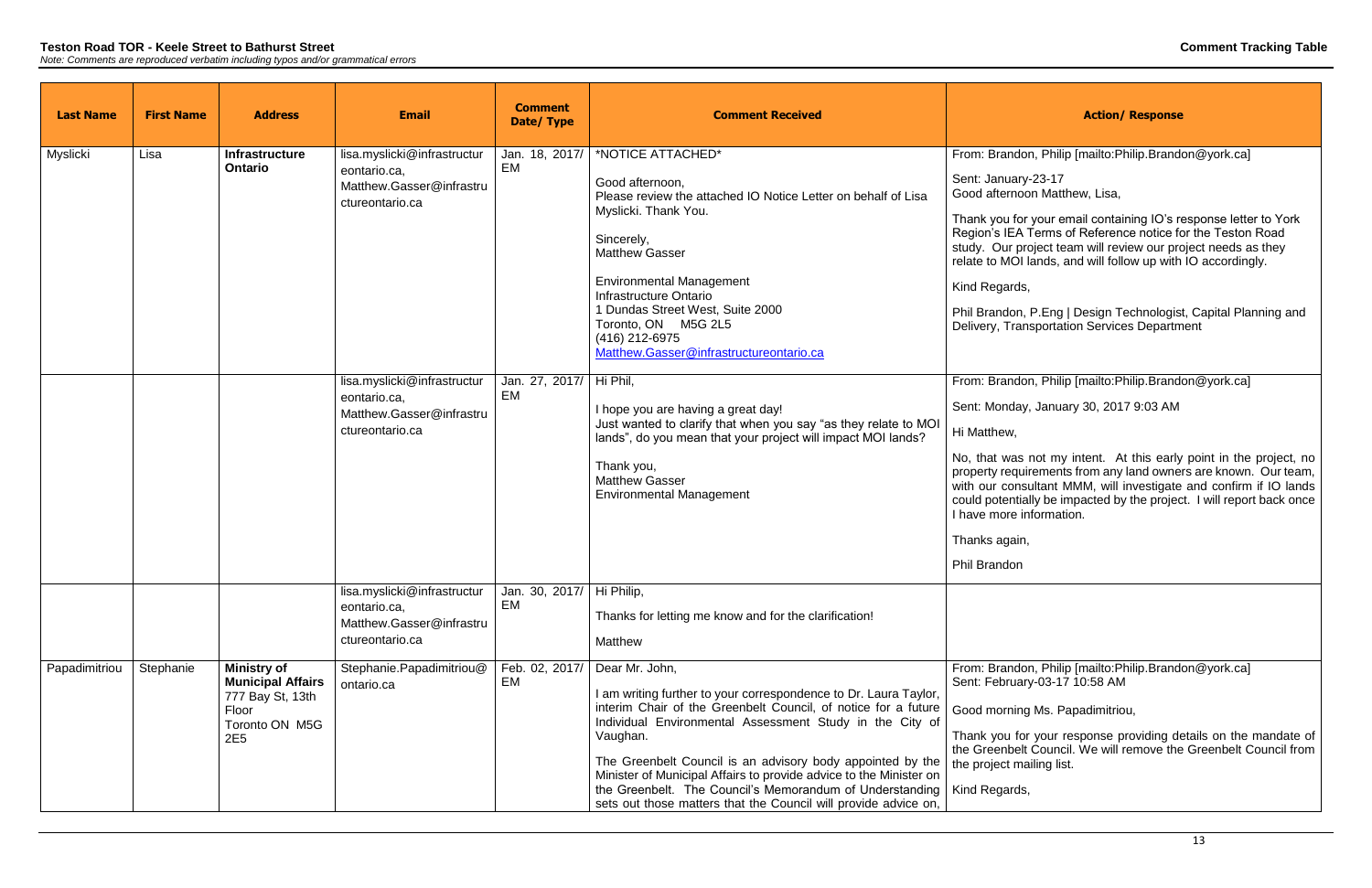*Note: Comments are reproduced verbatim including typos and/or grammatical errors*

No, that was not my intent. At this early point in the project, no property requirements from any land owners are known. Our team, with our consultant MMM, will investigate and confirm if IO lands entially be impacted by the project. I will report back once re information.

ndon, Philip [mailto:Philip.Brandon@york.ca] uary-03-17 10:58 AM

I for your response providing details on the mandate of belt Council. We will remove the Greenbelt Council from t mailing list.

| <b>Last Name</b> | <b>First Name</b> | <b>Address</b>                                                                                                   | <b>Email</b>                                                                               | <b>Comment</b><br>Date/ Type      | <b>Comment Received</b>                                                                                                                                                                                                                                                                                                                                                                                                                                                                         | <b>Action/ Response</b>                                                                                                                                                                                                                                                                                                                                                                                 |
|------------------|-------------------|------------------------------------------------------------------------------------------------------------------|--------------------------------------------------------------------------------------------|-----------------------------------|-------------------------------------------------------------------------------------------------------------------------------------------------------------------------------------------------------------------------------------------------------------------------------------------------------------------------------------------------------------------------------------------------------------------------------------------------------------------------------------------------|---------------------------------------------------------------------------------------------------------------------------------------------------------------------------------------------------------------------------------------------------------------------------------------------------------------------------------------------------------------------------------------------------------|
| Myslicki         | Lisa              | <b>Infrastructure</b><br><b>Ontario</b>                                                                          | lisa.myslicki@infrastructur<br>eontario.ca,<br>Matthew.Gasser@infrastru<br>ctureontario.ca | Jan. 18, 2017/<br>EM              | *NOTICE ATTACHED*<br>Good afternoon,<br>Please review the attached IO Notice Letter on behalf of Lisa<br>Myslicki. Thank You.<br>Sincerely,<br><b>Matthew Gasser</b><br><b>Environmental Management</b><br>Infrastructure Ontario<br>Dundas Street West, Suite 2000<br>Toronto, ON M5G 2L5<br>(416) 212-6975<br>Matthew.Gasser@infrastructureontario.ca                                                                                                                                         | From: Brandon, Philip [mailto:Philip.Brand<br>Sent: January-23-17<br>Good afternoon Matthew, Lisa,<br>Thank you for your email containing IO's re<br>Region's IEA Terms of Reference notice fo<br>study. Our project team will review our pro<br>relate to MOI lands, and will follow up with<br>Kind Regards,<br>Phil Brandon, P.Eng   Design Technologis<br>Delivery, Transportation Services Departm |
|                  |                   |                                                                                                                  | lisa.myslicki@infrastructur<br>eontario.ca,<br>Matthew.Gasser@infrastru<br>ctureontario.ca | Jan. 27, 2017/   Hi Phil,<br>EM   | I hope you are having a great day!<br>Just wanted to clarify that when you say "as they relate to MOI<br>lands", do you mean that your project will impact MOI lands?<br>Thank you,<br><b>Matthew Gasser</b><br><b>Environmental Management</b>                                                                                                                                                                                                                                                 | From: Brandon, Philip [mailto:Philip.Brand<br>Sent: Monday, January 30, 2017 9:03 AM<br>Hi Matthew,<br>No, that was not my intent. At this early<br>property requirements from any land owne<br>with our consultant MMM, will investigate<br>could potentially be impacted by the projec<br>I have more information.<br>Thanks again,<br>Phil Brandon                                                   |
|                  |                   |                                                                                                                  | lisa.myslicki@infrastructur<br>eontario.ca,<br>Matthew.Gasser@infrastru<br>ctureontario.ca | Jan. 30, 2017/   Hi Philip,<br>EM | Thanks for letting me know and for the clarification!<br>Matthew                                                                                                                                                                                                                                                                                                                                                                                                                                |                                                                                                                                                                                                                                                                                                                                                                                                         |
| Papadimitriou    | Stephanie         | <b>Ministry of</b><br><b>Municipal Affairs</b><br>777 Bay St, 13th<br>Floor<br>Toronto ON M5G<br>2E <sub>5</sub> | Stephanie.Papadimitriou@<br>ontario.ca                                                     | Feb. 02, 2017/<br>EM              | Dear Mr. John,<br>I am writing further to your correspondence to Dr. Laura Taylor,<br>interim Chair of the Greenbelt Council, of notice for a future<br>Individual Environmental Assessment Study in the City of<br>Vaughan.<br>The Greenbelt Council is an advisory body appointed by the<br>Minister of Municipal Affairs to provide advice to the Minister on<br>the Greenbelt. The Council's Memorandum of Understanding<br>sets out those matters that the Council will provide advice on, | From: Brandon, Philip [mailto:Philip.Brand<br>Sent: February-03-17 10:58 AM<br>Good morning Ms. Papadimitriou,<br>Thank you for your response providing de<br>the Greenbelt Council. We will remove the<br>the project mailing list.<br>Kind Regards,                                                                                                                                                   |

ndon, Philip [mailto:Philip.Brandon@york.ca]

I for your email containing IO's response letter to York EA Terms of Reference notice for the Teston Road r project team will review our project needs as they 1OI lands, and will follow up with IO accordingly.

lon, P.Eng | Design Technologist, Capital Planning and **Fransportation Services Department** 

ndon, Philip [mailto:Philip.Brandon@york.ca]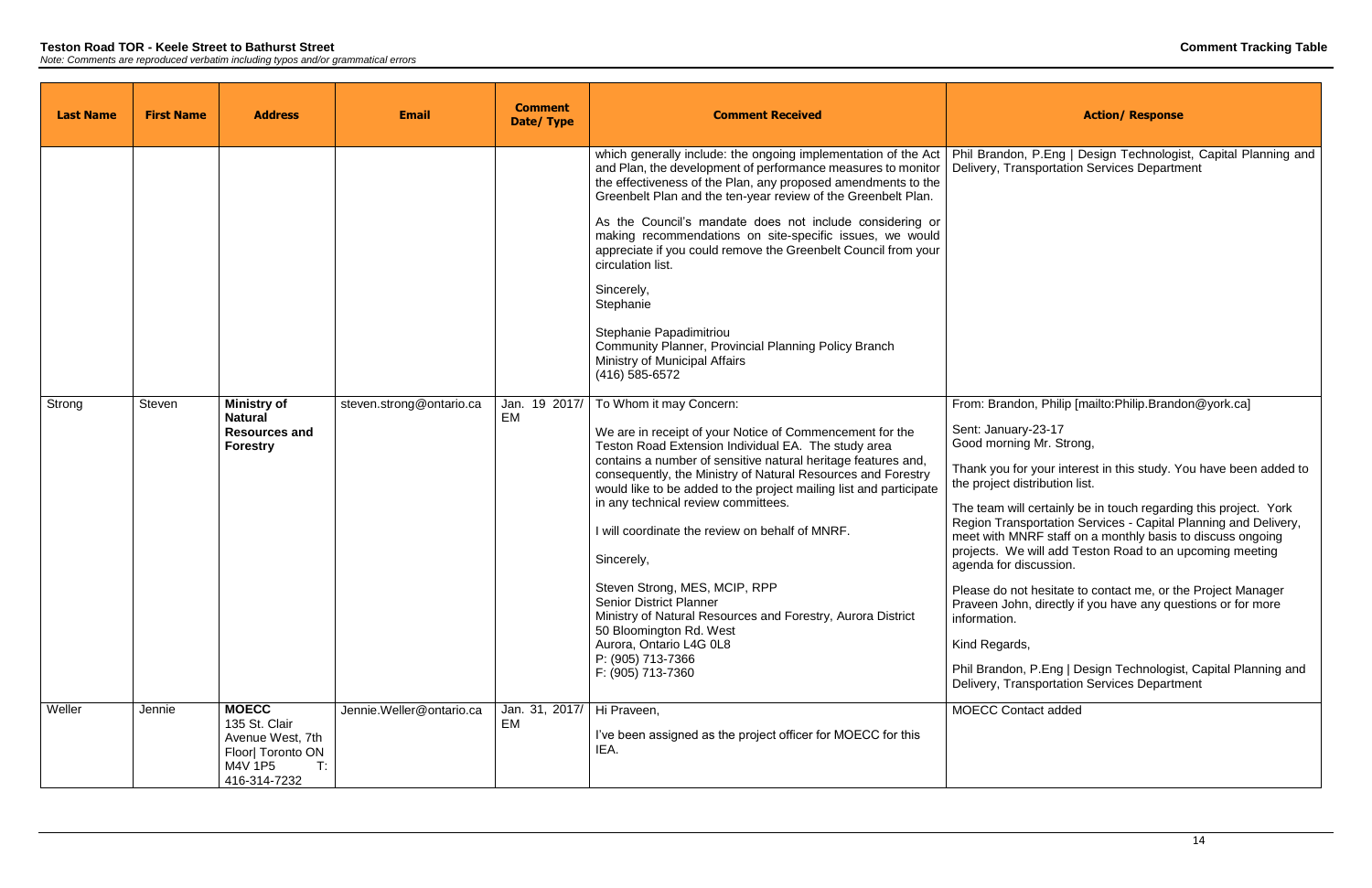*Note: Comments are reproduced verbatim including typos and/or grammatical errors*

The team will certainly be in touch regarding this project. York Region Transportation Services - Capital Planning and Delivery, MNRF staff on a monthly basis to discuss ongoing We will add Teston Road to an upcoming meeting r discussion.

> not hesitate to contact me, or the Project Manager lohn, directly if you have any questions or for more n.

Ion, P.Eng | Design Technologist, Capital Planning and **Fransportation Services Department** 

| <b>Last Name</b> | <b>First Name</b> | <b>Address</b>                                                                                                      | <b>Email</b>             | <b>Comment</b><br>Date/ Type       | <b>Comment Received</b>                                                                                                                                                                                                                                                                                                                                                                                                                                                                                                                                                                                                                                                                                     | <b>Action/ Response</b>                                                                                                                                                                                                                                                                                                                                                                                                                                                                                                                                                                                                  |
|------------------|-------------------|---------------------------------------------------------------------------------------------------------------------|--------------------------|------------------------------------|-------------------------------------------------------------------------------------------------------------------------------------------------------------------------------------------------------------------------------------------------------------------------------------------------------------------------------------------------------------------------------------------------------------------------------------------------------------------------------------------------------------------------------------------------------------------------------------------------------------------------------------------------------------------------------------------------------------|--------------------------------------------------------------------------------------------------------------------------------------------------------------------------------------------------------------------------------------------------------------------------------------------------------------------------------------------------------------------------------------------------------------------------------------------------------------------------------------------------------------------------------------------------------------------------------------------------------------------------|
|                  |                   |                                                                                                                     |                          |                                    | which generally include: the ongoing implementation of the Act<br>and Plan, the development of performance measures to monitor<br>the effectiveness of the Plan, any proposed amendments to the<br>Greenbelt Plan and the ten-year review of the Greenbelt Plan.<br>As the Council's mandate does not include considering or<br>making recommendations on site-specific issues, we would<br>appreciate if you could remove the Greenbelt Council from your<br>circulation list.<br>Sincerely,<br>Stephanie<br>Stephanie Papadimitriou<br><b>Community Planner, Provincial Planning Policy Branch</b><br>Ministry of Municipal Affairs<br>(416) 585-6572                                                     | Phil Brandon, P.Eng   Design Technologi<br>Delivery, Transportation Services Departm                                                                                                                                                                                                                                                                                                                                                                                                                                                                                                                                     |
| Strong           | Steven            | <b>Ministry of</b><br><b>Natural</b><br><b>Resources and</b><br><b>Forestry</b>                                     | steven.strong@ontario.ca | EM                                 | Jan. 19 2017/   To Whom it may Concern:<br>We are in receipt of your Notice of Commencement for the<br>Teston Road Extension Individual EA. The study area<br>contains a number of sensitive natural heritage features and,<br>consequently, the Ministry of Natural Resources and Forestry<br>would like to be added to the project mailing list and participate<br>in any technical review committees.<br>I will coordinate the review on behalf of MNRF.<br>Sincerely,<br>Steven Strong, MES, MCIP, RPP<br><b>Senior District Planner</b><br>Ministry of Natural Resources and Forestry, Aurora District<br>50 Bloomington Rd. West<br>Aurora, Ontario L4G 0L8<br>P: (905) 713-7366<br>F: (905) 713-7360 | From: Brandon, Philip [mailto:Philip.Brand<br>Sent: January-23-17<br>Good morning Mr. Strong,<br>Thank you for your interest in this study. Y<br>the project distribution list.<br>The team will certainly be in touch regardir<br>Region Transportation Services - Capital F<br>meet with MNRF staff on a monthly basis t<br>projects. We will add Teston Road to an u<br>agenda for discussion.<br>Please do not hesitate to contact me, or th<br>Praveen John, directly if you have any que<br>information.<br>Kind Regards,<br>Phil Brandon, P.Eng   Design Technologis<br>Delivery, Transportation Services Departm |
| Weller           | Jennie            | <b>MOECC</b><br>135 St. Clair<br>Avenue West, 7th<br>Floor  Toronto ON<br>$\mathsf{T}$ :<br>M4V 1P5<br>416-314-7232 | Jennie.Weller@ontario.ca | Jan. 31, 2017/   Hi Praveen,<br>EM | I've been assigned as the project officer for MOECC for this<br>IEA.                                                                                                                                                                                                                                                                                                                                                                                                                                                                                                                                                                                                                                        | <b>MOECC Contact added</b>                                                                                                                                                                                                                                                                                                                                                                                                                                                                                                                                                                                               |

don, P.Eng | Design Technologist, Capital Planning and **Fransportation Services Department** 

ndon, Philip [mailto:Philip.Brandon@york.ca]

I for your interest in this study. You have been added to t distribution list.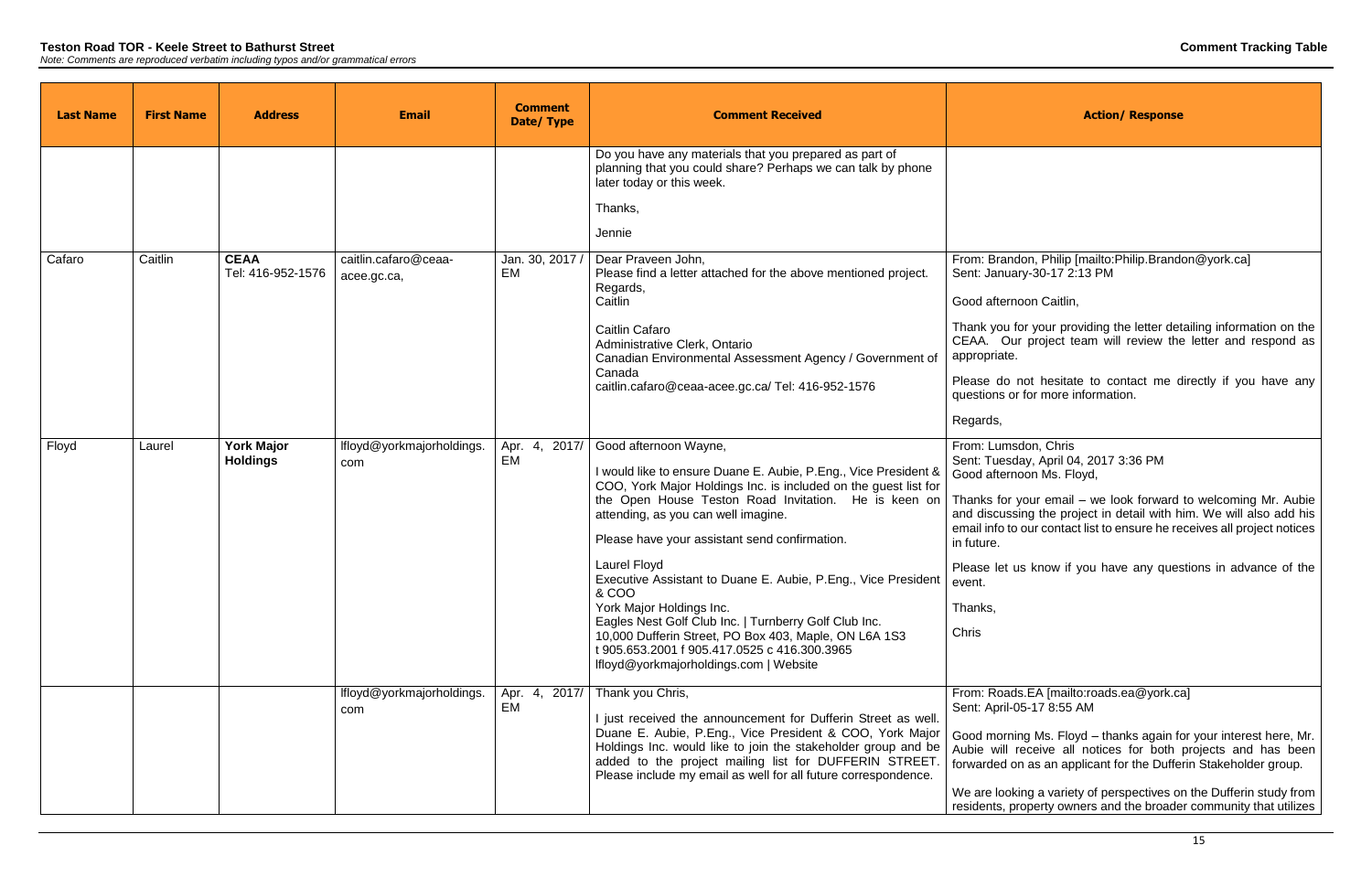*Note: Comments are reproduced verbatim including typos and/or grammatical errors*

| <b>Last Name</b> | <b>First Name</b> | <b>Address</b>                       | <b>Email</b>                        | <b>Comment</b><br>Date/ Type | <b>Comment Received</b>                                                                                                                                                                                                                                                                                                                                                                                                                                                                                                                                                                                                                                   | <b>Action/ Response</b>                                                                                                                                                                                                                                                                                                                   |
|------------------|-------------------|--------------------------------------|-------------------------------------|------------------------------|-----------------------------------------------------------------------------------------------------------------------------------------------------------------------------------------------------------------------------------------------------------------------------------------------------------------------------------------------------------------------------------------------------------------------------------------------------------------------------------------------------------------------------------------------------------------------------------------------------------------------------------------------------------|-------------------------------------------------------------------------------------------------------------------------------------------------------------------------------------------------------------------------------------------------------------------------------------------------------------------------------------------|
| Cafaro           | Caitlin           | <b>CEAA</b><br>Tel: 416-952-1576     | caitlin.cafaro@ceaa-<br>acee.gc.ca, | Jan. 30, 2017<br>EM          | Do you have any materials that you prepared as part of<br>planning that you could share? Perhaps we can talk by phone<br>later today or this week.<br>Thanks,<br>Jennie<br>Dear Praveen John,<br>Please find a letter attached for the above mentioned project.<br>Regards,<br>Caitlin<br>Caitlin Cafaro<br>Administrative Clerk, Ontario<br>Canadian Environmental Assessment Agency / Government of<br>Canada<br>caitlin.cafaro@ceaa-acee.gc.ca/Tel: 416-952-1576                                                                                                                                                                                       | From: Brandon, Philip [mailto:Philip.Brand<br>Sent: January-30-17 2:13 PM<br>Good afternoon Caitlin,<br>Thank you for your providing the letter det<br>CEAA. Our project team will review the<br>appropriate.<br>Please do not hesitate to contact me d<br>questions or for more information.                                             |
| Floyd            | Laurel            | <b>York Major</b><br><b>Holdings</b> | lfloyd@yorkmajorholdings.<br>com    | Apr. 4, 2017/<br>EM          | Good afternoon Wayne,<br>I would like to ensure Duane E. Aubie, P.Eng., Vice President &<br>COO, York Major Holdings Inc. is included on the guest list for<br>the Open House Teston Road Invitation. He is keen on<br>attending, as you can well imagine.<br>Please have your assistant send confirmation.<br>Laurel Floyd<br>Executive Assistant to Duane E. Aubie, P. Eng., Vice President<br><b>&amp; COO</b><br>York Major Holdings Inc.<br>Eagles Nest Golf Club Inc.   Turnberry Golf Club Inc.<br>10,000 Dufferin Street, PO Box 403, Maple, ON L6A 1S3<br>t 905.653.2001 f 905.417.0525 c 416.300.3965<br>Ifloyd@yorkmajorholdings.com   Website | Regards,<br>From: Lumsdon, Chris<br>Sent: Tuesday, April 04, 2017 3:36 PM<br>Good afternoon Ms. Floyd,<br>Thanks for your email – we look forward<br>and discussing the project in detail with h<br>email info to our contact list to ensure he re<br>in future.<br>Please let us know if you have any ques<br>event.<br>Thanks,<br>Chris |
|                  |                   |                                      | lfloyd@yorkmajorholdings.<br>com    | Apr. 4, 2017/<br>EM          | Thank you Chris,<br>I just received the announcement for Dufferin Street as well.<br>Duane E. Aubie, P.Eng., Vice President & COO, York Major<br>Holdings Inc. would like to join the stakeholder group and be<br>added to the project mailing list for DUFFERIN STREET.<br>Please include my email as well for all future correspondence.                                                                                                                                                                                                                                                                                                                | From: Roads.EA [mailto:roads.ea@york.ca<br>Sent: April-05-17 8:55 AM<br>Good morning Ms. Floyd - thanks again fo<br>Aubie will receive all notices for both<br>forwarded on as an applicant for the Duffe<br>We are looking a variety of perspectives or<br>residents, property owners and the broade                                     |

ndon, Philip [mailto:Philip.Brandon@york.ca] ary-30-17 2:13 PM

I for your providing the letter detailing information on the Dur project team will review the letter and respond as te.

not hesitate to contact me directly if you have any or for more information.

or your email – we look forward to welcoming Mr. Aubie ssing the project in detail with him. We will also add his to our contact list to ensure he receives all project notices

us know if you have any questions in advance of the

ads.EA [mailto:roads.ea@york.ca] -05-17 8:55 AM

ning Ms. Floyd – thanks again for your interest here, Mr. receive all notices for both projects and has been I on as an applicant for the Dufferin Stakeholder group.

oking a variety of perspectives on the Dufferin study from property owners and the broader community that utilizes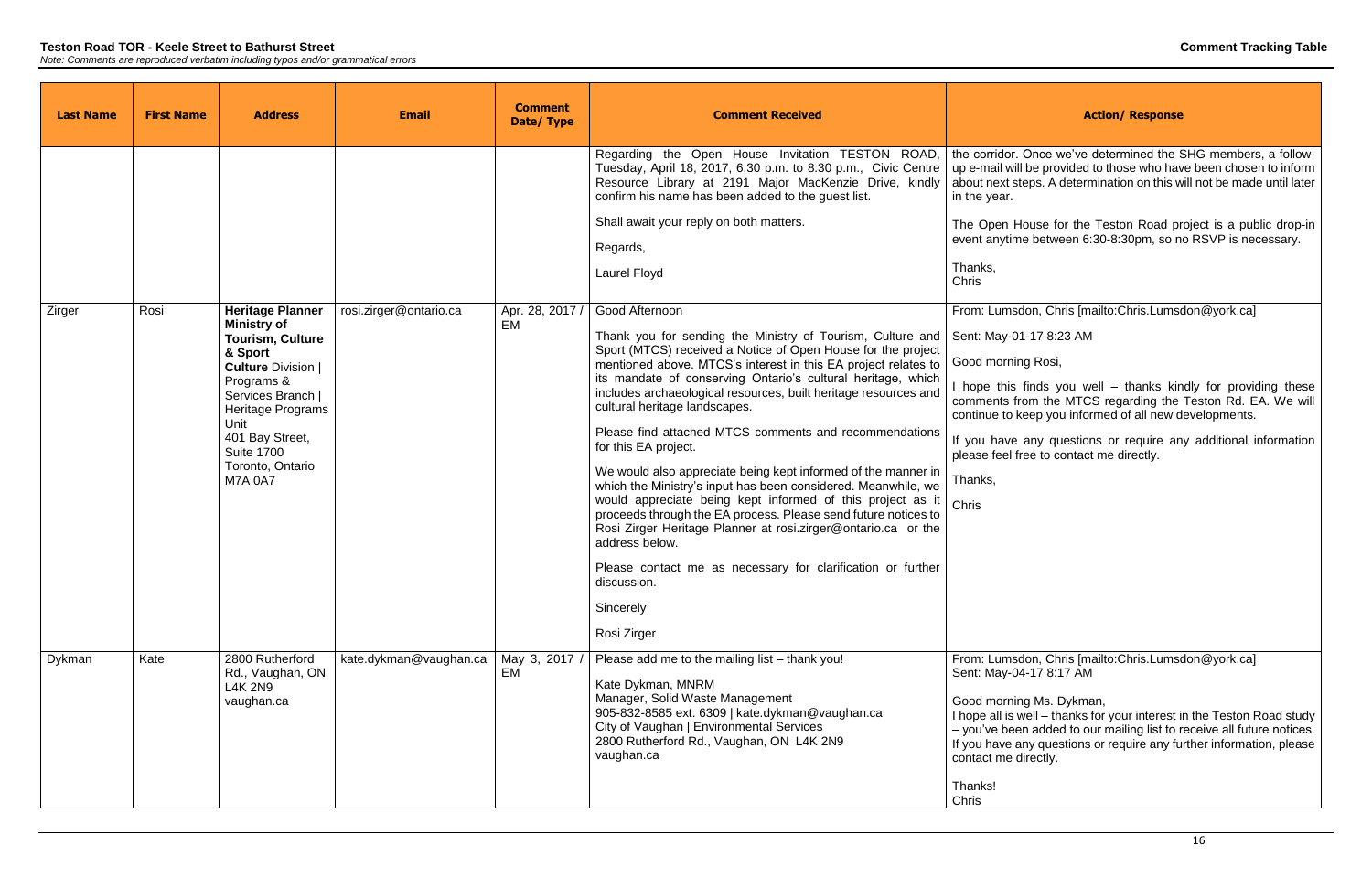*Note: Comments are reproduced verbatim including typos and/or grammatical errors*

| <b>Last Name</b> | <b>First Name</b> | <b>Address</b>                                                                                                                                                                                                                                                 | <b>Email</b>           | <b>Comment</b><br>Date/ Type | <b>Comment Received</b>                                                                                                                                                                                                                                                                                                                                                                                                                                                                                                                                                                                                                                                                                                                                                                                                                                                                                                                                                                                                                                                                                                                                                                                                                         | <b>Action/ Response</b>                                                                                                                                                                                                                                                                                                                                                                                                                                                                                                                                                                                     |
|------------------|-------------------|----------------------------------------------------------------------------------------------------------------------------------------------------------------------------------------------------------------------------------------------------------------|------------------------|------------------------------|-------------------------------------------------------------------------------------------------------------------------------------------------------------------------------------------------------------------------------------------------------------------------------------------------------------------------------------------------------------------------------------------------------------------------------------------------------------------------------------------------------------------------------------------------------------------------------------------------------------------------------------------------------------------------------------------------------------------------------------------------------------------------------------------------------------------------------------------------------------------------------------------------------------------------------------------------------------------------------------------------------------------------------------------------------------------------------------------------------------------------------------------------------------------------------------------------------------------------------------------------|-------------------------------------------------------------------------------------------------------------------------------------------------------------------------------------------------------------------------------------------------------------------------------------------------------------------------------------------------------------------------------------------------------------------------------------------------------------------------------------------------------------------------------------------------------------------------------------------------------------|
| Zirger           | Rosi              | <b>Heritage Planner</b><br><b>Ministry of</b><br><b>Tourism, Culture</b><br>& Sport<br><b>Culture Division  </b><br>Programs &<br>Services Branch  <br>Heritage Programs<br>Unit<br>401 Bay Street,<br><b>Suite 1700</b><br>Toronto, Ontario<br><b>M7A 0A7</b> | rosi.zirger@ontario.ca | Apr. 28, 2017 /<br>EM        | Regarding the Open House Invitation TESTON ROAD,<br>Tuesday, April 18, 2017, 6:30 p.m. to 8:30 p.m., Civic Centre<br>Resource Library at 2191 Major MacKenzie Drive, kindly<br>confirm his name has been added to the guest list.<br>Shall await your reply on both matters.<br>Regards,<br>Laurel Floyd<br>Good Afternoon<br>Thank you for sending the Ministry of Tourism, Culture and<br>Sport (MTCS) received a Notice of Open House for the project<br>mentioned above. MTCS's interest in this EA project relates to<br>its mandate of conserving Ontario's cultural heritage, which<br>includes archaeological resources, built heritage resources and<br>cultural heritage landscapes.<br>Please find attached MTCS comments and recommendations<br>for this EA project.<br>We would also appreciate being kept informed of the manner in<br>which the Ministry's input has been considered. Meanwhile, we<br>would appreciate being kept informed of this project as it<br>proceeds through the EA process. Please send future notices to<br>Rosi Zirger Heritage Planner at rosi.zirger@ontario.ca or the<br>address below.<br>Please contact me as necessary for clarification or further<br>discussion.<br>Sincerely<br>Rosi Zirger | the corridor. Once we've determined the \$<br>up e-mail will be provided to those who have<br>about next steps. A determination on this w<br>in the year.<br>The Open House for the Teston Road pr<br>event anytime between 6:30-8:30pm, so n<br>Thanks,<br>Chris<br>From: Lumsdon, Chris [mailto:Chris.Lumson<br>Sent: May-01-17 8:23 AM<br>Good morning Rosi,<br>I hope this finds you well – thanks kin<br>comments from the MTCS regarding the<br>continue to keep you informed of all new d<br>If you have any questions or require an<br>please feel free to contact me directly.<br>Thanks,<br>Chris |
| Dykman           | Kate              | 2800 Rutherford<br>Rd., Vaughan, ON<br><b>L4K 2N9</b><br>vaughan.ca                                                                                                                                                                                            | kate.dykman@vaughan.ca | May 3, 2017<br>EM            | Please add me to the mailing list - thank you!<br>Kate Dykman, MNRM<br>Manager, Solid Waste Management<br>905-832-8585 ext. 6309   kate.dykman@vaughan.ca<br>City of Vaughan   Environmental Services<br>2800 Rutherford Rd., Vaughan, ON L4K 2N9<br>vaughan.ca                                                                                                                                                                                                                                                                                                                                                                                                                                                                                                                                                                                                                                                                                                                                                                                                                                                                                                                                                                                 | From: Lumsdon, Chris [mailto:Chris.Lumso<br>Sent: May-04-17 8:17 AM<br>Good morning Ms. Dykman,<br>I hope all is well - thanks for your interest i<br>- you've been added to our mailing list to r<br>If you have any questions or require any fu<br>contact me directly.<br>Thanks!<br>Chris                                                                                                                                                                                                                                                                                                               |

or. Once we've determined the SHG members, a followwill be provided to those who have been chosen to inform steps. A determination on this will not be made until later

House for the Teston Road project is a public drop-in time between 6:30-8:30pm, so no RSVP is necessary.

nsdon, Chris [mailto:Chris.Lumsdon@york.ca]

is finds you well – thanks kindly for providing these from the MTCS regarding the Teston Rd. EA. We will o keep you informed of all new developments.

ve any questions or require any additional information I free to contact me directly.

nsdon, Chris [mailto:Chris.Lumsdon@york.ca] -04-17 8:17 AM

is well – thanks for your interest in the Teston Road study een added to our mailing list to receive all future notices. e any questions or require any further information, please e directly.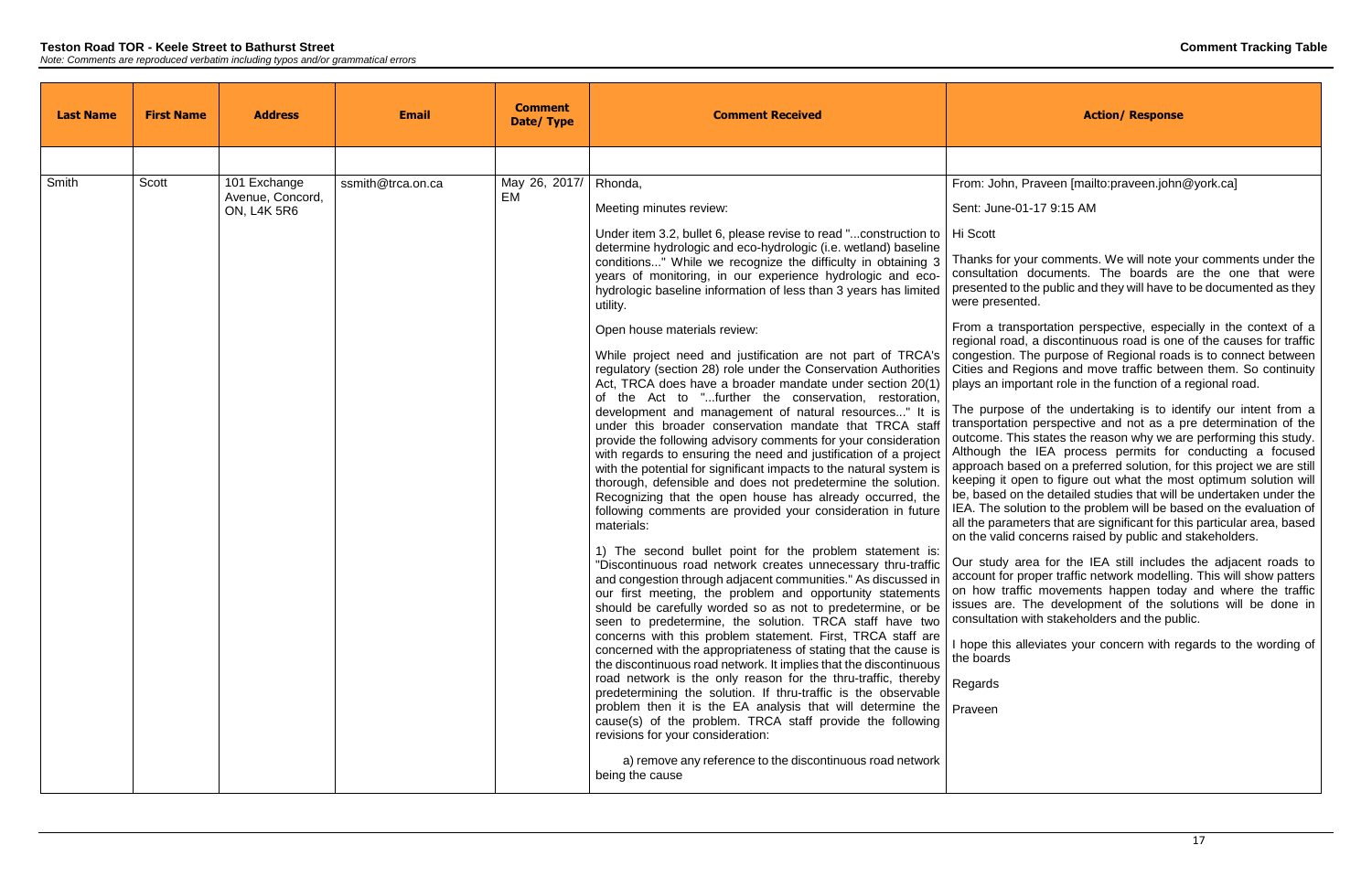*Note: Comments are reproduced verbatim including typos and/or grammatical errors*

| <b>Last Name</b> | <b>First Name</b> | <b>Address</b>                                         | <b>Email</b>      | <b>Comment</b><br>Date/ Type | <b>Comment Received</b>                                                                                                                                                                                                                                                                                                                                                                                                                                                                                                                                                                                                                                                                                                                                                                                                                                                                                                                                                                                                                                                                                                                                                                                                                                                                                                                                                                                                                                                                                                                                                                                                                                                                                                                                                                                                                                                                                                                                                                                                                                                                                                    | <b>Action/ Response</b>                                                                                                                                                                                                                                                                                                                                                                                                                                                                                                                                                                                                                                                                                                                                                                                                                                                                                                                                                                                                                                                                                                                                                                                                                                              |
|------------------|-------------------|--------------------------------------------------------|-------------------|------------------------------|----------------------------------------------------------------------------------------------------------------------------------------------------------------------------------------------------------------------------------------------------------------------------------------------------------------------------------------------------------------------------------------------------------------------------------------------------------------------------------------------------------------------------------------------------------------------------------------------------------------------------------------------------------------------------------------------------------------------------------------------------------------------------------------------------------------------------------------------------------------------------------------------------------------------------------------------------------------------------------------------------------------------------------------------------------------------------------------------------------------------------------------------------------------------------------------------------------------------------------------------------------------------------------------------------------------------------------------------------------------------------------------------------------------------------------------------------------------------------------------------------------------------------------------------------------------------------------------------------------------------------------------------------------------------------------------------------------------------------------------------------------------------------------------------------------------------------------------------------------------------------------------------------------------------------------------------------------------------------------------------------------------------------------------------------------------------------------------------------------------------------|----------------------------------------------------------------------------------------------------------------------------------------------------------------------------------------------------------------------------------------------------------------------------------------------------------------------------------------------------------------------------------------------------------------------------------------------------------------------------------------------------------------------------------------------------------------------------------------------------------------------------------------------------------------------------------------------------------------------------------------------------------------------------------------------------------------------------------------------------------------------------------------------------------------------------------------------------------------------------------------------------------------------------------------------------------------------------------------------------------------------------------------------------------------------------------------------------------------------------------------------------------------------|
| Smith            | Scott             | 101 Exchange<br>Avenue, Concord,<br><b>ON, L4K 5R6</b> | ssmith@trca.on.ca | May 26, 2017/<br>EM          | Rhonda,<br>Meeting minutes review:<br>Under item 3.2, bullet 6, please revise to read "construction to<br>determine hydrologic and eco-hydrologic (i.e. wetland) baseline<br>conditions" While we recognize the difficulty in obtaining 3<br>years of monitoring, in our experience hydrologic and eco-<br>hydrologic baseline information of less than 3 years has limited<br>utility.<br>Open house materials review:<br>While project need and justification are not part of TRCA's<br>regulatory (section 28) role under the Conservation Authorities<br>Act, TRCA does have a broader mandate under section 20(1)<br>of the Act to "further the conservation, restoration,<br>development and management of natural resources" It is<br>under this broader conservation mandate that TRCA staff<br>provide the following advisory comments for your consideration<br>with regards to ensuring the need and justification of a project<br>with the potential for significant impacts to the natural system is<br>thorough, defensible and does not predetermine the solution.<br>Recognizing that the open house has already occurred, the<br>following comments are provided your consideration in future<br>materials:<br>1) The second bullet point for the problem statement is:<br>"Discontinuous road network creates unnecessary thru-traffic<br>and congestion through adjacent communities." As discussed in<br>our first meeting, the problem and opportunity statements<br>should be carefully worded so as not to predetermine, or be<br>seen to predetermine, the solution. TRCA staff have two<br>concerns with this problem statement. First, TRCA staff are<br>concerned with the appropriateness of stating that the cause is<br>the discontinuous road network. It implies that the discontinuous<br>road network is the only reason for the thru-traffic, thereby<br>predetermining the solution. If thru-traffic is the observable<br>problem then it is the EA analysis that will determine the<br>cause(s) of the problem. TRCA staff provide the following<br>revisions for your consideration: | From: John, Praveen [mailto:praveen.john<br>Sent: June-01-17 9:15 AM<br>Hi Scott<br>Thanks for your comments. We will note ye<br>consultation documents. The boards a<br>presented to the public and they will have to<br>were presented.<br>From a transportation perspective, espective<br>regional road, a discontinuous road is one<br>congestion. The purpose of Regional road<br>Cities and Regions and move traffic betw<br>plays an important role in the function of a<br>The purpose of the undertaking is to id<br>transportation perspective and not as a p<br>outcome. This states the reason why we a<br>Although the IEA process permits for<br>approach based on a preferred solution, fo<br>keeping it open to figure out what the mo<br>be, based on the detailed studies that will<br>IEA. The solution to the problem will be ba<br>all the parameters that are significant for the<br>on the valid concerns raised by public and<br>Our study area for the IEA still includes<br>account for proper traffic network modellin<br>on how traffic movements happen today<br>issues are. The development of the so<br>consultation with stakeholders and the pub<br>I hope this alleviates your concern with re<br>the boards<br>Regards<br>Praveen |
|                  |                   |                                                        |                   |                              | a) remove any reference to the discontinuous road network<br>being the cause                                                                                                                                                                                                                                                                                                                                                                                                                                                                                                                                                                                                                                                                                                                                                                                                                                                                                                                                                                                                                                                                                                                                                                                                                                                                                                                                                                                                                                                                                                                                                                                                                                                                                                                                                                                                                                                                                                                                                                                                                                               |                                                                                                                                                                                                                                                                                                                                                                                                                                                                                                                                                                                                                                                                                                                                                                                                                                                                                                                                                                                                                                                                                                                                                                                                                                                                      |

n, Praveen [mailto:praveen.john@york.ca]

your comments. We will note your comments under the on documents. The boards are the one that were to the public and they will have to be documented as they ented.

ansportation perspective, especially in the context of a ad, a discontinuous road is one of the causes for traffic . The purpose of Regional roads is to connect between Regions and move traffic between them. So continuity portant role in the function of a regional road.

ose of the undertaking is to identify our intent from a tion perspective and not as a pre determination of the This states the reason why we are performing this study. the IEA process permits for conducting a focused based on a preferred solution, for this project we are still open to figure out what the most optimum solution will on the detailed studies that will be undertaken under the olution to the problem will be based on the evaluation of ameters that are significant for this particular area, based d concerns raised by public and stakeholders.

area for the IEA still includes the adjacent roads to proper traffic network modelling. This will show patters affic movements happen today and where the traffic . The development of the solutions will be done in on with stakeholders and the public.

alleviates your concern with regards to the wording of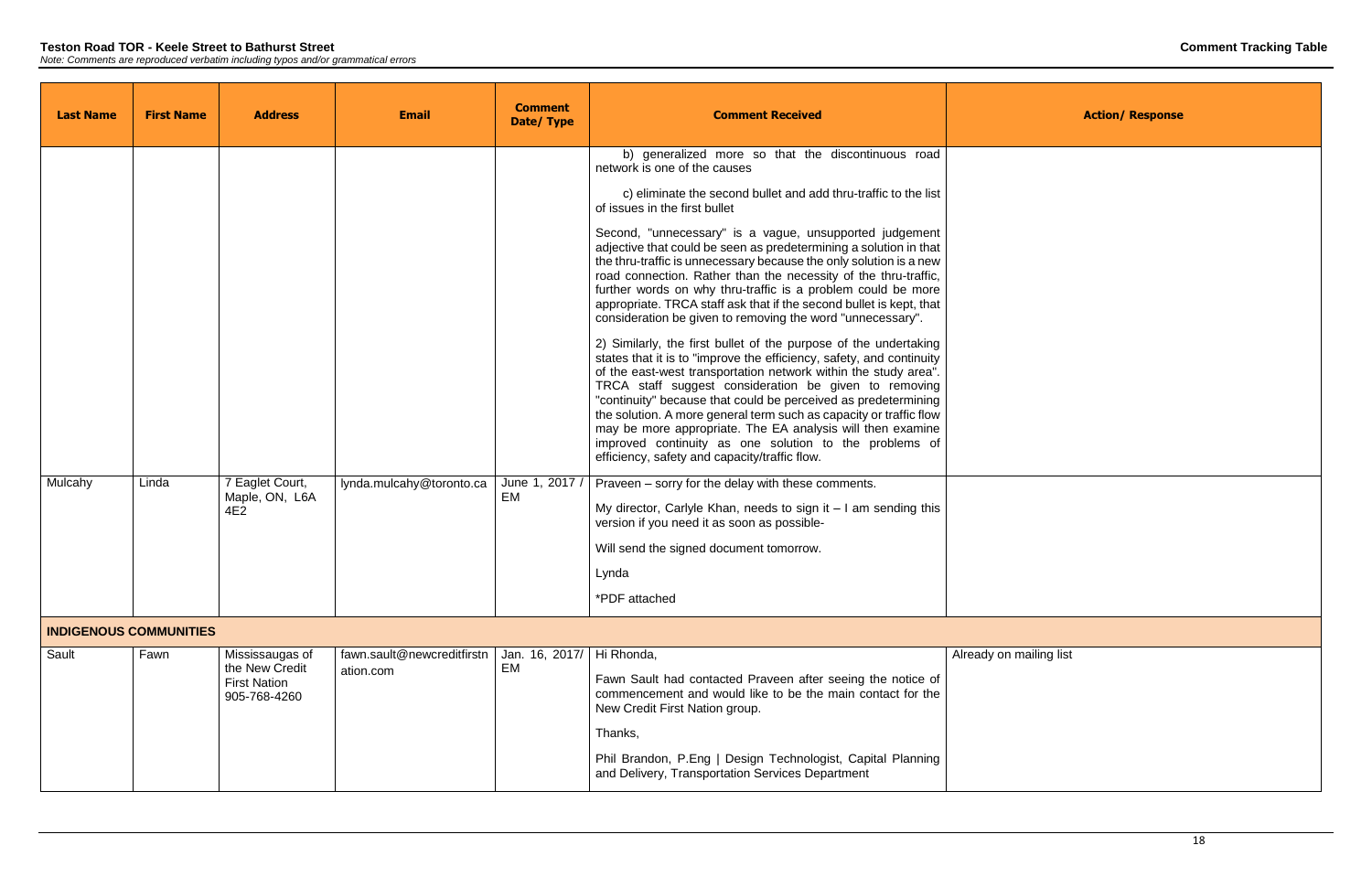*Note: Comments are reproduced verbatim including typos and/or grammatical errors*

| <b>Last Name</b>              | <b>First Name</b> | <b>Address</b>                                        | <b>Email</b>               | <b>Comment</b><br>Date/ Type | <b>Comment Received</b>                                                                                                                                                                                                                                                                                                                                                                                                                                                                                                                                                               |         |
|-------------------------------|-------------------|-------------------------------------------------------|----------------------------|------------------------------|---------------------------------------------------------------------------------------------------------------------------------------------------------------------------------------------------------------------------------------------------------------------------------------------------------------------------------------------------------------------------------------------------------------------------------------------------------------------------------------------------------------------------------------------------------------------------------------|---------|
|                               |                   |                                                       |                            |                              | b) generalized more so that the discontinuous road<br>network is one of the causes                                                                                                                                                                                                                                                                                                                                                                                                                                                                                                    |         |
|                               |                   |                                                       |                            |                              | c) eliminate the second bullet and add thru-traffic to the list<br>of issues in the first bullet                                                                                                                                                                                                                                                                                                                                                                                                                                                                                      |         |
|                               |                   |                                                       |                            |                              | Second, "unnecessary" is a vague, unsupported judgement<br>adjective that could be seen as predetermining a solution in that<br>the thru-traffic is unnecessary because the only solution is a new<br>road connection. Rather than the necessity of the thru-traffic,<br>further words on why thru-traffic is a problem could be more<br>appropriate. TRCA staff ask that if the second bullet is kept, that<br>consideration be given to removing the word "unnecessary".                                                                                                            |         |
|                               |                   |                                                       |                            |                              | 2) Similarly, the first bullet of the purpose of the undertaking<br>states that it is to "improve the efficiency, safety, and continuity<br>of the east-west transportation network within the study area".<br>TRCA staff suggest consideration be given to removing<br>"continuity" because that could be perceived as predetermining<br>the solution. A more general term such as capacity or traffic flow<br>may be more appropriate. The EA analysis will then examine<br>improved continuity as one solution to the problems of<br>efficiency, safety and capacity/traffic flow. |         |
| Mulcahy                       | Linda             | 7 Eaglet Court,<br>Maple, ON, L6A                     | lynda.mulcahy@toronto.ca   | June 1, 2017 /<br>EM         | Praveen – sorry for the delay with these comments.                                                                                                                                                                                                                                                                                                                                                                                                                                                                                                                                    |         |
|                               |                   | 4E2                                                   |                            |                              | My director, Carlyle Khan, needs to sign it $-1$ am sending this<br>version if you need it as soon as possible-                                                                                                                                                                                                                                                                                                                                                                                                                                                                       |         |
|                               |                   |                                                       |                            |                              | Will send the signed document tomorrow.                                                                                                                                                                                                                                                                                                                                                                                                                                                                                                                                               |         |
|                               |                   |                                                       |                            |                              | Lynda                                                                                                                                                                                                                                                                                                                                                                                                                                                                                                                                                                                 |         |
|                               |                   |                                                       |                            |                              | *PDF attached                                                                                                                                                                                                                                                                                                                                                                                                                                                                                                                                                                         |         |
| <b>INDIGENOUS COMMUNITIES</b> |                   |                                                       |                            |                              |                                                                                                                                                                                                                                                                                                                                                                                                                                                                                                                                                                                       |         |
| Sault                         | Fawn              | Mississaugas of                                       | fawn.sault@newcreditfirstn | Jan. 16, 2017/               | Hi Rhonda,                                                                                                                                                                                                                                                                                                                                                                                                                                                                                                                                                                            | Already |
|                               |                   | the New Credit<br><b>First Nation</b><br>905-768-4260 | ation.com                  | EM                           | Fawn Sault had contacted Praveen after seeing the notice of<br>commencement and would like to be the main contact for the<br>New Credit First Nation group.                                                                                                                                                                                                                                                                                                                                                                                                                           |         |
|                               |                   |                                                       |                            |                              | Thanks,                                                                                                                                                                                                                                                                                                                                                                                                                                                                                                                                                                               |         |
|                               |                   |                                                       |                            |                              | Phil Brandon, P.Eng   Design Technologist, Capital Planning<br>and Delivery, Transportation Services Department                                                                                                                                                                                                                                                                                                                                                                                                                                                                       |         |

# **Action/ Response**

on mailing list